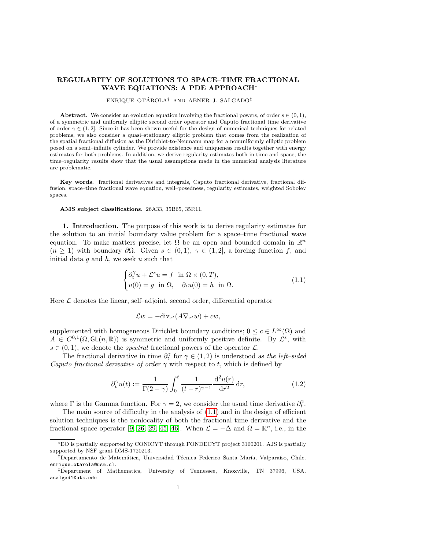# REGULARITY OF SOLUTIONS TO SPACE–TIME FRACTIONAL WAVE EQUATIONS: A PDE APPROACH<sup>∗</sup>

#### ENRIQUE OTÁROLA<sup>†</sup> AND ABNER J. SALGADO<sup>‡</sup>

Abstract. We consider an evolution equation involving the fractional powers, of order  $s \in (0,1)$ , of a symmetric and uniformly elliptic second order operator and Caputo fractional time derivative of order  $\gamma \in (1, 2]$ . Since it has been shown useful for the design of numerical techniques for related problems, we also consider a quasi–stationary elliptic problem that comes from the realization of the spatial fractional diffusion as the Dirichlet-to-Neumann map for a nonuniformly elliptic problem posed on a semi–infinite cylinder. We provide existence and uniqueness results together with energy estimates for both problems. In addition, we derive regularity estimates both in time and space; the time–regularity results show that the usual assumptions made in the numerical analysis literature are problematic.

Key words. fractional derivatives and integrals, Caputo fractional derivative, fractional diffusion, space–time fractional wave equation, well–posedness, regularity estimates, weighted Sobolev spaces.

AMS subject classifications. 26A33, 35B65, 35R11.

1. Introduction. The purpose of this work is to derive regularity estimates for the solution to an initial boundary value problem for a space–time fractional wave equation. To make matters precise, let  $\Omega$  be an open and bounded domain in  $\mathbb{R}^n$  $(n \geq 1)$  with boundary  $\partial\Omega$ . Given  $s \in (0,1), \gamma \in (1,2]$ , a forcing function f, and initial data  $g$  and  $h$ , we seek  $u$  such that

<span id="page-0-0"></span>
$$
\begin{cases} \partial_t^{\gamma} u + \mathcal{L}^s u = f \quad \text{in } \Omega \times (0, T), \\ u(0) = g \quad \text{in } \Omega, \quad \partial_t u(0) = h \quad \text{in } \Omega. \end{cases}
$$
 (1.1)

Here  $\mathcal L$  denotes the linear, self–adjoint, second order, differential operator

$$
\mathcal{L}w = -\text{div}_{x'}(A\nabla_{x'}w) + cw,
$$

supplemented with homogeneous Dirichlet boundary conditions;  $0 \leq c \in L^{\infty}(\Omega)$  and  $A \in C^{0,1}(\Omega, \mathsf{GL}(n,\mathbb{R}))$  is symmetric and uniformly positive definite. By  $\mathcal{L}^s$ , with  $s \in (0, 1)$ , we denote the *spectral* fractional powers of the operator  $\mathcal{L}$ .

The fractional derivative in time  $\partial_t^{\gamma}$  for  $\gamma \in (1,2)$  is understood as the left–sided Caputo fractional derivative of order  $\gamma$  with respect to t, which is defined by

<span id="page-0-1"></span>
$$
\partial_t^{\gamma} u(t) := \frac{1}{\Gamma(2-\gamma)} \int_0^t \frac{1}{(t-r)^{\gamma-1}} \frac{\mathrm{d}^2 u(r)}{\mathrm{d}r^2} \,\mathrm{d}r,\tag{1.2}
$$

where  $\Gamma$  is the Gamma function. For  $\gamma = 2$ , we consider the usual time derivative  $\partial_t^2$ .

The main source of difficulty in the analysis of [\(1.1\)](#page-0-0) and in the design of efficient solution techniques is the nonlocality of both the fractional time derivative and the fractional space operator [\[9,](#page-21-0) [26,](#page-22-0) [29,](#page-22-1) [45,](#page-22-2) [46\]](#page-22-3). When  $\mathcal{L} = -\Delta$  and  $\Omega = \mathbb{R}^n$ , i.e., in the

<sup>∗</sup>EO is partially supported by CONICYT through FONDECYT project 3160201. AJS is partially supported by NSF grant DMS-1720213.

<sup>&</sup>lt;sup>†</sup>Departamento de Matemática, Universidad Técnica Federico Santa María, Valparaíso, Chile. enrique.otarola@usm.cl.

<sup>‡</sup>Department of Mathematics, University of Tennessee, Knoxville, TN 37996, USA. asalgad1@utk.edu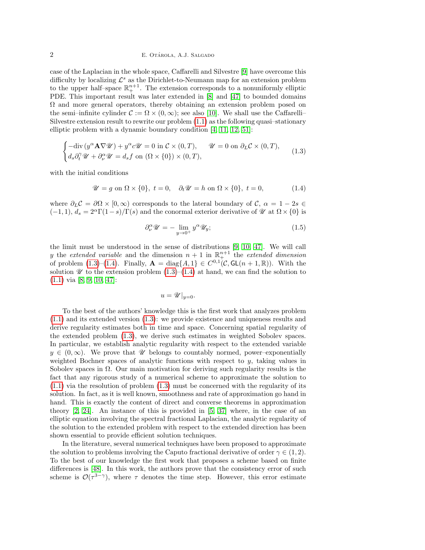### 2 E. OTÁROLA, A.J. SALGADO

case of the Laplacian in the whole space, Caffarelli and Silvestre [\[9\]](#page-21-0) have overcome this difficulty by localizing  $\mathcal{L}^s$  as the Dirichlet-to-Neumann map for an extension problem to the upper half-space  $\mathbb{R}^{n+1}_+$ . The extension corresponds to a nonuniformly elliptic PDE. This important result was later extended in [\[8\]](#page-21-1) and [\[47\]](#page-22-4) to bounded domains  $\Omega$  and more general operators, thereby obtaining an extension problem posed on the semi–infinite cylinder  $\mathcal{C} := \Omega \times (0,\infty)$ ; see also [\[10\]](#page-21-2). We shall use the Caffarelli– Silvestre extension result to rewrite our problem [\(1.1\)](#page-0-0) as the following quasi–stationary elliptic problem with a dynamic boundary condition [\[4,](#page-21-3) [11,](#page-21-4) [12,](#page-21-5) [51\]](#page-23-0):

<span id="page-1-0"></span>
$$
\begin{cases}\n-\text{div}\left(y^{\alpha}\mathbf{A}\nabla\mathscr{U}\right) + y^{\alpha}c\mathscr{U} = 0 \text{ in } \mathcal{C} \times (0,T), \qquad \mathscr{U} = 0 \text{ on } \partial_L \mathcal{C} \times (0,T), \\
d_s \partial_t^{\gamma}\mathscr{U} + \partial_{\nu}^{\alpha}\mathscr{U} = d_s f \text{ on } (\Omega \times \{0\}) \times (0,T),\n\end{cases} (1.3)
$$

with the initial conditions

<span id="page-1-1"></span>
$$
\mathscr{U} = g \text{ on } \Omega \times \{0\}, \ t = 0, \quad \partial_t \mathscr{U} = h \text{ on } \Omega \times \{0\}, \ t = 0,
$$
 (1.4)

where  $\partial_L C = \partial \Omega \times [0, \infty)$  corresponds to the lateral boundary of C,  $\alpha = 1 - 2s \in$  $(-1, 1), d_s = 2^{\alpha} \Gamma(1-s)/\Gamma(s)$  and the conormal exterior derivative of  $\mathcal{U}$  at  $\Omega \times \{0\}$  is

<span id="page-1-2"></span>
$$
\partial_{\nu}^{\alpha} \mathscr{U} = -\lim_{y \to 0^{+}} y^{\alpha} \mathscr{U}_{y};\tag{1.5}
$$

the limit must be understood in the sense of distributions [\[9,](#page-21-0) [10,](#page-21-2) [47\]](#page-22-4). We will call y the extended variable and the dimension  $n + 1$  in  $\mathbb{R}^{n+1}$  the extended dimension of problem  $(1.3)$ – $(1.4)$ . Finally,  $\mathbf{A} = \text{diag}\{A, 1\} \in C^{0,1}(\mathcal{C}, GL(n+1,\mathbb{R}))$ . With the solution  $\mathscr U$  to the extension problem  $(1.3)$ – $(1.4)$  at hand, we can find the solution to [\(1.1\)](#page-0-0) via [\[8,](#page-21-1) [9,](#page-21-0) [10,](#page-21-2) [47\]](#page-22-4):

$$
u = \mathscr{U}|_{y=0}.
$$

To the best of the authors' knowledge this is the first work that analyzes problem [\(1.1\)](#page-0-0) and its extended version [\(1.3\)](#page-1-0): we provide existence and uniqueness results and derive regularity estimates both in time and space. Concerning spatial regularity of the extended problem [\(1.3\)](#page-1-0), we derive such estimates in weighted Sobolev spaces. In particular, we establish analytic regularity with respect to the extended variable  $y \in (0,\infty)$ . We prove that  $\mathscr U$  belongs to countably normed, power–exponentially weighted Bochner spaces of analytic functions with respect to y, taking values in Sobolev spaces in  $\Omega$ . Our main motivation for deriving such regularity results is the fact that any rigorous study of a numerical scheme to approximate the solution to  $(1.1)$  via the resolution of problem  $(1.3)$  must be concerned with the regularity of its solution. In fact, as it is well known, smoothness and rate of approximation go hand in hand. This is exactly the content of direct and converse theorems in approximation theory [\[2,](#page-21-6) [24\]](#page-22-5). An instance of this is provided in [\[5,](#page-21-7) [37\]](#page-22-6) where, in the case of an elliptic equation involving the spectral fractional Laplacian, the analytic regularity of the solution to the extended problem with respect to the extended direction has been shown essential to provide efficient solution techniques.

In the literature, several numerical techniques have been proposed to approximate the solution to problems involving the Caputo fractional derivative of order  $\gamma \in (1, 2)$ . To the best of our knowledge the first work that proposes a scheme based on finite differences is [\[48\]](#page-22-7). In this work, the authors prove that the consistency error of such scheme is  $\mathcal{O}(\tau^{3-\gamma})$ , where  $\tau$  denotes the time step. However, this error estimate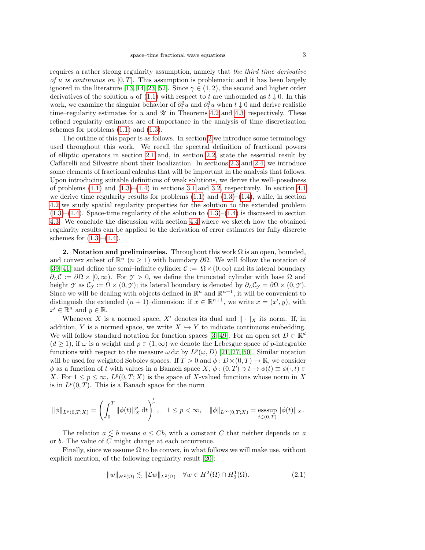requires a rather strong regularity assumption, namely that the third time derivative of u is continuous on  $[0, T]$ . This assumption is problematic and it has been largely ignored in the literature [\[13,](#page-21-8) [14,](#page-21-9) [23,](#page-22-8) [52\]](#page-23-1). Since  $\gamma \in (1, 2)$ , the second and higher order derivatives of the solution u of [\(1.1\)](#page-0-0) with respect to t are unbounded as  $t \downarrow 0$ . In this work, we examine the singular behavior of  $\partial_t^2 u$  and  $\partial_t^3 u$  when  $t \downarrow 0$  and derive realistic time–regularity estimates for u and  $\mathcal U$  in Theorems [4.2](#page-14-0) and [4.3,](#page-15-0) respectively. These refined regularity estimates are of importance in the analysis of time discretization schemes for problems  $(1.1)$  and  $(1.3)$ .

The outline of this paper is as follows. In section [2](#page-2-0) we introduce some terminology used throughout this work. We recall the spectral definition of fractional powers of elliptic operators in section [2.1](#page-3-0) and, in section [2.2,](#page-3-1) state the essential result by Caffarelli and Silvestre about their localization. In sections [2.3](#page-4-0) and [2.4,](#page-4-1) we introduce some elements of fractional calculus that will be important in the analysis that follows. Upon introducing suitable definitions of weak solutions, we derive the well–posedness of problems  $(1.1)$  and  $(1.3)$ – $(1.4)$  in sections [3.1](#page-5-0) and [3.2,](#page-10-0) respectively. In section [4.1](#page-12-0) we derive time regularity results for problems  $(1.1)$  and  $(1.3)$ – $(1.4)$ , while, in section [4.2](#page-15-1) we study spatial regularity properties for the solution to the extended problem  $(1.3)$ – $(1.4)$ . Space-time regularity of the solution to  $(1.3)$ – $(1.4)$  is discussed in section [4.3.](#page-18-0) We conclude the discussion with section [4.4](#page-19-0) where we sketch how the obtained regularity results can be applied to the derivation of error estimates for fully discrete schemes for  $(1.3)–(1.4)$  $(1.3)–(1.4)$ .

<span id="page-2-0"></span>2. Notation and preliminaries. Throughout this work  $\Omega$  is an open, bounded, and convex subset of  $\mathbb{R}^n$  ( $n \geq 1$ ) with boundary  $\partial \Omega$ . We will follow the notation of [\[39,](#page-22-9) [41\]](#page-22-10) and define the semi–infinite cylinder  $\mathcal{C} := \Omega \times (0, \infty)$  and its lateral boundary  $\partial_L C := \partial \Omega \times [0, \infty)$ . For  $\gamma > 0$ , we define the truncated cylinder with base  $\Omega$  and height *Y* as  $\mathcal{C}_{\gamma} := \Omega \times (0, \gamma)$ ; its lateral boundary is denoted by  $\partial_L \mathcal{C}_{\gamma} = \partial \Omega \times (0, \gamma)$ . Since we will be dealing with objects defined in  $\mathbb{R}^n$  and  $\mathbb{R}^{n+1}$ , it will be convenient to distinguish the extended  $(n + 1)$ -dimension: if  $x \in \mathbb{R}^{n+1}$ , we write  $x = (x', y)$ , with  $x' \in \mathbb{R}^n$  and  $y \in \mathbb{R}$ .

Whenever X is a normed space, X' denotes its dual and  $\|\cdot\|_X$  its norm. If, in addition, Y is a normed space, we write  $X \hookrightarrow Y$  to indicate continuous embedding. We will follow standard notation for function spaces [\[3,](#page-21-10) [49\]](#page-22-11). For an open set  $D \subset \mathbb{R}^d$  $(d \ge 1)$ , if  $\omega$  is a weight and  $p \in (1,\infty)$  we denote the Lebesgue space of p-integrable functions with respect to the measure  $\omega dx$  by  $L^p(\omega, D)$  [\[21,](#page-21-11) [27,](#page-22-12) [50\]](#page-22-13). Similar notation will be used for weighted Sobolev spaces. If  $T > 0$  and  $\phi : D \times (0,T) \to \mathbb{R}$ , we consider  $\phi$  as a function of t with values in a Banach space  $X, \phi : (0,T) \ni t \mapsto \phi(t) \equiv \phi(\cdot, t) \in$ X. For  $1 \leq p \leq \infty$ ,  $L^p(0,T;X)$  is the space of X-valued functions whose norm in X is in  $L^p(0,T)$ . This is a Banach space for the norm

$$
\|\phi\|_{L^p(0,T;X)} = \left(\int_0^T \|\phi(t)\|_X^p dt\right)^{\frac{1}{p}}, \quad 1 \le p < \infty, \quad \|\phi\|_{L^{\infty}(0,T;X)} = \operatorname*{esssup}_{t \in (0,T)} \|\phi(t)\|_X.
$$

The relation  $a \lesssim b$  means  $a \leq Cb$ , with a constant C that neither depends on a or b. The value of C might change at each occurrence.

Finally, since we assume  $\Omega$  to be convex, in what follows we will make use, without explicit mention, of the following regularity result [\[20\]](#page-21-12):

<span id="page-2-1"></span>
$$
||w||_{H^2(\Omega)} \lesssim ||\mathcal{L}w||_{L^2(\Omega)} \quad \forall w \in H^2(\Omega) \cap H_0^1(\Omega). \tag{2.1}
$$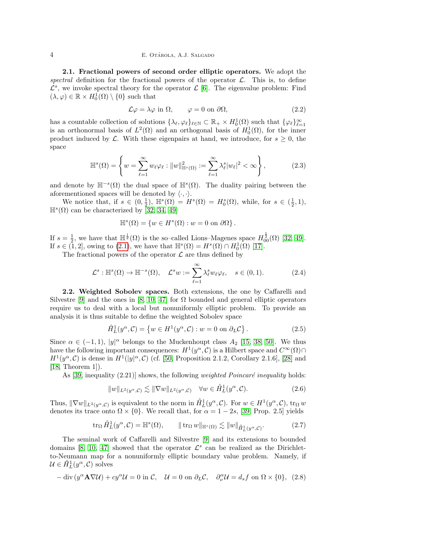#### 4 **E. OTÁROLA, A.J. SALGADO**

<span id="page-3-0"></span>2.1. Fractional powers of second order elliptic operators. We adopt the spectral definition for the fractional powers of the operator  $\mathcal{L}$ . This is, to define  $\mathcal{L}^s$ , we invoke spectral theory for the operator  $\mathcal{L}$  [\[6\]](#page-21-13). The eigenvalue problem: Find  $(\lambda, \varphi) \in \mathbb{R} \times H_0^1(\Omega) \setminus \{0\}$  such that

<span id="page-3-2"></span>
$$
\mathcal{L}\varphi = \lambda\varphi \text{ in } \Omega, \qquad \varphi = 0 \text{ on } \partial\Omega,\tag{2.2}
$$

has a countable collection of solutions  $\{\lambda_{\ell}, \varphi_{\ell}\}_{\ell \in \mathbb{N}} \subset \mathbb{R}_+ \times H_0^1(\Omega)$  such that  $\{\varphi_{\ell}\}_{\ell=1}^{\infty}$ is an orthonormal basis of  $L^2(\Omega)$  and an orthogonal basis of  $H_0^1(\Omega)$ , for the inner product induced by  $\mathcal{L}$ . With these eigenpairs at hand, we introduce, for  $s \geq 0$ , the space

<span id="page-3-3"></span>
$$
\mathbb{H}^s(\Omega) = \left\{ w = \sum_{\ell=1}^{\infty} w_{\ell} \varphi_{\ell} : ||w||_{\mathbb{H}^s(\Omega)}^2 := \sum_{\ell=1}^{\infty} \lambda_{\ell}^s |w_{\ell}|^2 < \infty \right\},\tag{2.3}
$$

and denote by  $\mathbb{H}^{-s}(\Omega)$  the dual space of  $\mathbb{H}^{s}(\Omega)$ . The duality pairing between the aforementioned spaces will be denoted by  $\langle \cdot, \cdot \rangle$ .

We notice that, if  $s \in (0, \frac{1}{2})$ ,  $\mathbb{H}^s(\Omega) = H^s(\Omega) = H^s_0(\Omega)$ , while, for  $s \in (\frac{1}{2}, 1)$ ,  $\mathbb{H}^{s}(\Omega)$  can be characterized by [\[32,](#page-22-14) [34,](#page-22-15) [49\]](#page-22-11)

$$
\mathbb{H}^s(\Omega) = \{ w \in H^s(\Omega) : w = 0 \text{ on } \partial\Omega \}.
$$

If  $s = \frac{1}{2}$ , we have that  $\mathbb{H}^{\frac{1}{2}}(\Omega)$  is the so-called Lions–Magenes space  $H_{00}^{\frac{1}{2}}(\Omega)$  [\[32,](#page-22-14) [49\]](#page-22-11). If  $s \in (1,2]$ , owing to  $(2.1)$ , we have that  $\mathbb{H}^s(\Omega) = H^s(\Omega) \cap H_0^1(\Omega)$  [\[17\]](#page-21-14).

The fractional powers of the operator  $\mathcal L$  are thus defined by

$$
\mathcal{L}^s : \mathbb{H}^s(\Omega) \to \mathbb{H}^{-s}(\Omega), \quad \mathcal{L}^s w := \sum_{\ell=1}^{\infty} \lambda_{\ell}^s w_{\ell} \varphi_{\ell}, \quad s \in (0,1).
$$
 (2.4)

<span id="page-3-1"></span>2.2. Weighted Sobolev spaces. Both extensions, the one by Caffarelli and Silvestre [\[9\]](#page-21-0) and the ones in [\[8,](#page-21-1) [10,](#page-21-2) [47\]](#page-22-4) for  $\Omega$  bounded and general elliptic operators require us to deal with a local but nonuniformly elliptic problem. To provide an analysis it is thus suitable to define the weighted Sobolev space

$$
\mathring{H}_L^1(y^\alpha, \mathcal{C}) = \{ w \in H^1(y^\alpha, \mathcal{C}) : w = 0 \text{ on } \partial_L \mathcal{C} \}.
$$
\n(2.5)

Since  $\alpha \in (-1,1)$ ,  $|y|^{\alpha}$  belongs to the Muckenhoupt class  $A_2$  [\[15,](#page-21-15) [38,](#page-22-16) [50\]](#page-22-13). We thus have the following important consequences:  $H^1(y^\alpha, \mathcal{C})$  is a Hilbert space and  $C^\infty(\Omega) \cap$  $H^1(y^\alpha, \mathcal{C})$  is dense in  $H^1(|y|^\alpha, \mathcal{C})$  (cf. [\[50,](#page-22-13) Proposition 2.1.2, Corollary 2.1.6], [\[28\]](#page-22-17) and [\[18,](#page-21-16) Theorem 1]).

As  $[39,$  inequality  $(2.21)$  shows, the following *weighted Poincaré inequality* holds:

$$
||w||_{L^{2}(y^{\alpha}, \mathcal{C})} \lesssim ||\nabla w||_{L^{2}(y^{\alpha}, \mathcal{C})} \quad \forall w \in \mathring{H}^{1}_{L}(y^{\alpha}, \mathcal{C}).
$$
\n(2.6)

Thus,  $\|\nabla w\|_{L^2(y^\alpha,\mathcal{C})}$  is equivalent to the norm in  $\mathring{H}_L^1(y^\alpha,\mathcal{C})$ . For  $w \in H^1(y^\alpha,\mathcal{C})$ ,  $\text{tr}_\Omega w$ denotes its trace onto  $\Omega \times \{0\}$ . We recall that, for  $\alpha = 1 - 2s$ , [\[39,](#page-22-9) Prop. 2.5] yields

$$
\operatorname{tr}_{\Omega} \mathring{H}_L^1(y^{\alpha}, \mathcal{C}) = \mathbb{H}^s(\Omega), \qquad \|\operatorname{tr}_{\Omega} w\|_{\mathbb{H}^s(\Omega)} \lesssim \|w\|_{\mathring{H}_L^1(y^{\alpha}, \mathcal{C})}. \tag{2.7}
$$

The seminal work of Caffarelli and Silvestre [\[9\]](#page-21-0) and its extensions to bounded domains [\[8,](#page-21-1) [10,](#page-21-2) [47\]](#page-22-4) showed that the operator  $\mathcal{L}^s$  can be realized as the Dirichletto-Neumann map for a nonuniformly elliptic boundary value problem. Namely, if  $\mathcal{U} \in \mathring{H}^1_L(y^\alpha, \mathcal{C})$  solves

$$
-\operatorname{div}\left(y^{\alpha}\mathbf{A}\nabla\mathcal{U}\right) + cy^{\alpha}\mathcal{U} = 0 \text{ in } \mathcal{C}, \quad \mathcal{U} = 0 \text{ on } \partial_L\mathcal{C}, \quad \partial_{\nu}^{\alpha}\mathcal{U} = d_s f \text{ on } \Omega \times \{0\}, \tag{2.8}
$$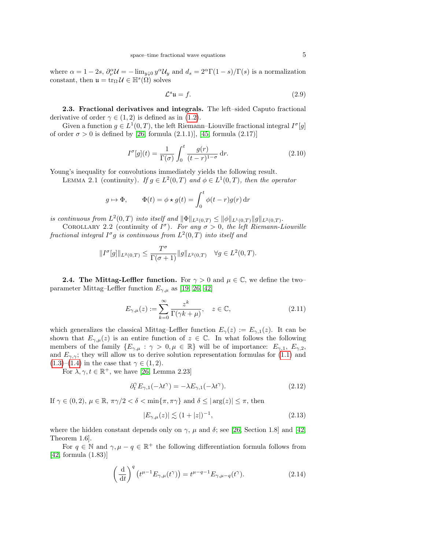where  $\alpha = 1 - 2s$ ,  $\partial_{\nu}^{\alpha} \mathcal{U} = -\lim_{y \downarrow 0} y^{\alpha} \mathcal{U}_y$  and  $d_s = 2^{\alpha} \Gamma(1 - s) / \Gamma(s)$  is a normalization constant, then  $\mathfrak{u} = \text{tr}_{\Omega} \mathcal{U} \in \mathbb{H}^{s}(\tilde{\Omega})$  solves

<span id="page-4-4"></span>
$$
\mathcal{L}^s \mathfrak{u} = f. \tag{2.9}
$$

<span id="page-4-0"></span>2.3. Fractional derivatives and integrals. The left–sided Caputo fractional derivative of order  $\gamma \in (1, 2)$  is defined as in [\(1.2\)](#page-0-1).

Given a function  $g \in L^1(0,T)$ , the left Riemann–Liouville fractional integral  $I^{\sigma}[g]$ of order  $\sigma > 0$  is defined by [\[26,](#page-22-0) formula (2.1.1)], [\[45,](#page-22-2) formula (2.17)]

$$
I^{\sigma}[g](t) = \frac{1}{\Gamma(\sigma)} \int_0^t \frac{g(r)}{(t-r)^{1-\sigma}} dr.
$$
 (2.10)

Young's inequality for convolutions immediately yields the following result.

LEMMA 2.1 (continuity). If  $g \in L^2(0,T)$  and  $\phi \in L^1(0,T)$ , then the operator

$$
g \mapsto \Phi
$$
,  $\Phi(t) = \phi \star g(t) = \int_0^t \phi(t - r)g(r) dr$ 

is continuous from  $L^2(0,T)$  into itself and  $\|\Phi\|_{L^2(0,T)} \leq \|\phi\|_{L^1(0,T)} \|g\|_{L^2(0,T)}$ .

COROLLARY 2.2 (continuity of  $I^{\sigma}$ ). For any  $\sigma > 0$ , the left Riemann-Liouville fractional integral  $I^{\sigma}g$  is continuous from  $L^2(0,T)$  into itself and

$$
||I^{\sigma}[g]||_{L^{2}(0,T)} \leq \frac{T^{\sigma}}{\Gamma(\sigma+1)} ||g||_{L^{2}(0,T)} \quad \forall g \in L^{2}(0,T).
$$

<span id="page-4-1"></span>**2.4. The Mittag-Leffler function.** For  $\gamma > 0$  and  $\mu \in \mathbb{C}$ , we define the two– parameter Mittag–Leffler function  $E_{\gamma,\mu}$  as [\[19,](#page-21-17) [26,](#page-22-0) [42\]](#page-22-18)

$$
E_{\gamma,\mu}(z) := \sum_{k=0}^{\infty} \frac{z^k}{\Gamma(\gamma k + \mu)}, \quad z \in \mathbb{C},
$$
\n(2.11)

which generalizes the classical Mittag–Leffler function  $E_{\gamma}(z) := E_{\gamma,1}(z)$ . It can be shown that  $E_{\gamma,\mu}(z)$  is an entire function of  $z \in \mathbb{C}$ . In what follows the following members of the family  $\{E_{\gamma,\mu} : \gamma > 0, \mu \in \mathbb{R}\}\$  will be of importance:  $E_{\gamma,1}, E_{\gamma,2}$ , and  $E_{\gamma,\gamma}$ ; they will allow us to derive solution representation formulas for [\(1.1\)](#page-0-0) and [\(1.3\)](#page-1-0)–[\(1.4\)](#page-1-1) in the case that  $\gamma \in (1, 2)$ .

For  $\lambda, \gamma, t \in \mathbb{R}^+$ , we have [\[26,](#page-22-0) Lemma 2.23]

$$
\partial_t^{\gamma} E_{\gamma,1}(-\lambda t^{\gamma}) = -\lambda E_{\gamma,1}(-\lambda t^{\gamma}). \tag{2.12}
$$

If  $\gamma \in (0, 2)$ ,  $\mu \in \mathbb{R}$ ,  $\pi \gamma/2 < \delta < \min\{\pi, \pi \gamma\}$  and  $\delta \leq |\arg(z)| \leq \pi$ , then

<span id="page-4-2"></span>
$$
|E_{\gamma,\mu}(z)| \lesssim (1+|z|)^{-1},\tag{2.13}
$$

where the hidden constant depends only on  $\gamma$ ,  $\mu$  and  $\delta$ ; see [\[26,](#page-22-0) Section 1.8] and [\[42,](#page-22-18) Theorem 1.6].

For  $q \in \mathbb{N}$  and  $\gamma, \mu - q \in \mathbb{R}^+$  the following differentiation formula follows from [\[42,](#page-22-18) formula (1.83)]

<span id="page-4-3"></span>
$$
\left(\frac{\mathrm{d}}{\mathrm{d}t}\right)^q \left(t^{\mu-1} E_{\gamma,\mu}(t^{\gamma})\right) = t^{\mu-q-1} E_{\gamma,\mu-q}(t^{\gamma}).\tag{2.14}
$$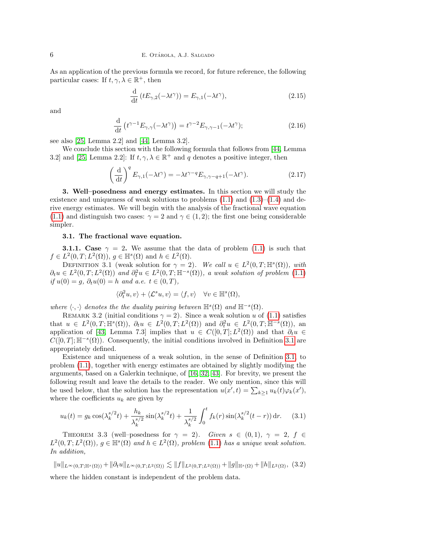As an application of the previous formula we record, for future reference, the following particular cases: If  $t, \gamma, \lambda \in \mathbb{R}^+$ , then

<span id="page-5-2"></span>
$$
\frac{\mathrm{d}}{\mathrm{d}t} \left( t E_{\gamma,2}(-\lambda t^{\gamma}) \right) = E_{\gamma,1}(-\lambda t^{\gamma}),\tag{2.15}
$$

and

<span id="page-5-3"></span>
$$
\frac{\mathrm{d}}{\mathrm{d}t} \left( t^{\gamma - 1} E_{\gamma, \gamma}(-\lambda t^{\gamma}) \right) = t^{\gamma - 2} E_{\gamma, \gamma - 1}(-\lambda t^{\gamma}); \tag{2.16}
$$

see also [\[25,](#page-22-19) Lemma 2.2] and [\[44,](#page-22-20) Lemma 3.2].

We conclude this section with the following formula that follows from [\[44,](#page-22-20) Lemma 3.2 and [\[25,](#page-22-19) Lemma 2.2]: If  $t, \gamma, \lambda \in \mathbb{R}^+$  and q denotes a positive integer, then

<span id="page-5-4"></span>
$$
\left(\frac{\mathrm{d}}{\mathrm{d}t}\right)^q E_{\gamma,1}(-\lambda t^{\gamma}) = -\lambda t^{\gamma-q} E_{\gamma,\gamma-q+1}(-\lambda t^{\gamma}).\tag{2.17}
$$

3. Well–posedness and energy estimates. In this section we will study the existence and uniqueness of weak solutions to problems  $(1.1)$  and  $(1.3)$ – $(1.4)$  and derive energy estimates. We will begin with the analysis of the fractional wave equation [\(1.1\)](#page-0-0) and distinguish two cases:  $\gamma = 2$  and  $\gamma \in (1, 2)$ ; the first one being considerable simpler.

### <span id="page-5-0"></span>3.1. The fractional wave equation.

**3.1.1.** Case  $\gamma = 2$ . We assume that the data of problem [\(1.1\)](#page-0-0) is such that  $f \in L^2(0,T;L^2(\Omega)), g \in \mathbb{H}^s(\Omega)$  and  $h \in L^2(\Omega)$ .

<span id="page-5-1"></span>DEFINITION 3.1 (weak solution for  $\gamma = 2$ ). We call  $u \in L^2(0,T;\mathbb{H}^s(\Omega))$ , with  $\partial_t u \in L^2(0,T;L^2(\Omega))$  and  $\partial_t^2 u \in L^2(0,T;\mathbb{H}^{-s}(\Omega))$ , a weak solution of problem [\(1.1\)](#page-0-0) if  $u(0) = g, \, \partial_t u(0) = h$  and a.e.  $t \in (0, T)$ ,

$$
\langle \partial_t^2 u, v \rangle + \langle \mathcal{L}^s u, v \rangle = \langle f, v \rangle \quad \forall v \in \mathbb{H}^s(\Omega),
$$

where  $\langle \cdot, \cdot \rangle$  denotes the the duality pairing between  $\mathbb{H}^{s}(\Omega)$  and  $\mathbb{H}^{-s}(\Omega)$ .

<span id="page-5-5"></span>REMARK 3.2 (initial conditions  $\gamma = 2$ ). Since a weak solution u of [\(1.1\)](#page-0-0) satisfies that  $u \in L^2(0,T;\mathbb{H}^s(\Omega))$ ,  $\partial_t u \in L^2(0,T;L^2(\Omega))$  and  $\partial_t^2 u \in L^2(0,T;\mathbb{H}^{-s}(\Omega))$ , an application of [\[43,](#page-22-21) Lemma 7.3] implies that  $u \in C([0,T]; L^2(\Omega))$  and that  $\partial_t u \in$  $C([0,T]; \mathbb{H}^{-s}(\Omega))$ . Consequently, the initial conditions involved in Definition [3.1](#page-5-1) are appropriately defined.

Existence and uniqueness of a weak solution, in the sense of Definition [3.1,](#page-5-1) to problem [\(1.1\)](#page-0-0), together with energy estimates are obtained by slightly modifying the arguments, based on a Galerkin technique, of [\[16,](#page-21-18) [32,](#page-22-14) [43\]](#page-22-21). For brevity, we present the following result and leave the details to the reader. We only mention, since this will be used below, that the solution has the representation  $u(x',t) = \sum_{k\geq 1} u_k(t) \varphi_k(x')$ , where the coefficients  $u_k$  are given by

<span id="page-5-7"></span>
$$
u_k(t) = g_k \cos(\lambda_k^{s/2} t) + \frac{h_k}{\lambda_k^{s/2}} \sin(\lambda_k^{s/2} t) + \frac{1}{\lambda_k^{s/2}} \int_0^t f_k(r) \sin(\lambda_k^{s/2} (t - r)) dr.
$$
 (3.1)

<span id="page-5-6"></span>THEOREM 3.3 (well–posedness for  $\gamma = 2$ ). Given  $s \in (0,1)$ ,  $\gamma = 2$ ,  $f \in$  $L^2(0,T;L^2(\Omega))$ ,  $g \in \mathbb{H}^s(\Omega)$  and  $h \in L^2(\Omega)$ , problem [\(1.1\)](#page-0-0) has a unique weak solution. In addition,

$$
||u||_{L^{\infty}(0,T;\mathbb{H}^{s}(\Omega))}+||\partial_{t}u||_{L^{\infty}(0,T;L^{2}(\Omega))}\lesssim ||f||_{L^{2}(0,T;L^{2}(\Omega))}+||g||_{\mathbb{H}^{s}(\Omega)}+||h||_{L^{2}(\Omega)},
$$
(3.2)

where the hidden constant is independent of the problem data.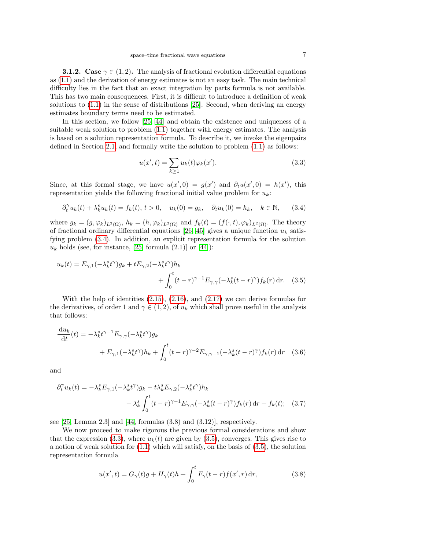**3.1.2.** Case  $\gamma \in (1, 2)$ . The analysis of fractional evolution differential equations as [\(1.1\)](#page-0-0) and the derivation of energy estimates is not an easy task. The main technical difficulty lies in the fact that an exact integration by parts formula is not available. This has two main consequences. First, it is difficult to introduce a definition of weak solutions to [\(1.1\)](#page-0-0) in the sense of distributions [\[25\]](#page-22-19). Second, when deriving an energy estimates boundary terms need to be estimated.

In this section, we follow [\[25,](#page-22-19) [44\]](#page-22-20) and obtain the existence and uniqueness of a suitable weak solution to problem [\(1.1\)](#page-0-0) together with energy estimates. The analysis is based on a solution representation formula. To describe it, we invoke the eigenpairs defined in Section [2.1,](#page-3-0) and formally write the solution to problem [\(1.1\)](#page-0-0) as follows:

<span id="page-6-2"></span><span id="page-6-1"></span>
$$
u(x',t) = \sum_{k \ge 1} u_k(t)\varphi_k(x').
$$
 (3.3)

Since, at this formal stage, we have  $u(x', 0) = g(x')$  and  $\partial_t u(x', 0) = h(x')$ , this representation yields the following fractional initial value problem for  $u_k$ :

<span id="page-6-0"></span>
$$
\partial_t^{\gamma} u_k(t) + \lambda_k^s u_k(t) = f_k(t), \ t > 0, \quad u_k(0) = g_k, \quad \partial_t u_k(0) = h_k, \quad k \in \mathbb{N}, \tag{3.4}
$$

where  $g_k = (g, \varphi_k)_{L^2(\Omega)}, h_k = (h, \varphi_k)_{L^2(\Omega)}$  and  $f_k(t) = (f(\cdot, t), \varphi_k)_{L^2(\Omega)}$ . The theory of fractional ordinary differential equations [\[26,](#page-22-0) [45\]](#page-22-2) gives a unique function  $u_k$  satisfying problem [\(3.4\)](#page-6-0). In addition, an explicit representation formula for the solution  $u_k$  holds (see, for instance, [\[25,](#page-22-19) formula (2.1)] or [\[44\]](#page-22-20)):

$$
u_k(t) = E_{\gamma,1}(-\lambda_k^s t^\gamma)g_k + tE_{\gamma,2}(-\lambda_k^s t^\gamma)h_k
$$
  
+ 
$$
\int_0^t (t-r)^{\gamma-1}E_{\gamma,\gamma}(-\lambda_k^s (t-r)^\gamma)f_k(r) dr. \quad (3.5)
$$

With the help of identities  $(2.15)$ ,  $(2.16)$ , and  $(2.17)$  we can derive formulas for the derivatives, of order 1 and  $\gamma \in (1, 2)$ , of  $u_k$  which shall prove useful in the analysis that follows:

$$
\frac{\mathrm{d}u_k}{\mathrm{d}t}(t) = -\lambda_k^s t^{\gamma - 1} E_{\gamma, \gamma}(-\lambda_k^s t^{\gamma}) g_k
$$
  
+ 
$$
E_{\gamma, 1}(-\lambda_k^s t^{\gamma}) h_k + \int_0^t (t - r)^{\gamma - 2} E_{\gamma, \gamma - 1}(-\lambda_k^s (t - r)^{\gamma}) f_k(r) \, \mathrm{d}r \quad (3.6)
$$

and

$$
\partial_t^{\gamma} u_k(t) = -\lambda_k^s E_{\gamma,1}(-\lambda_k^s t^{\gamma}) g_k - t\lambda_k^s E_{\gamma,2}(-\lambda_k^s t^{\gamma}) h_k
$$

$$
- \lambda_k^s \int_0^t (t-r)^{\gamma-1} E_{\gamma,\gamma}(-\lambda_k^s (t-r)^{\gamma}) f_k(r) dr + f_k(t); \quad (3.7)
$$

see [\[25,](#page-22-19) Lemma 2.3] and [\[44,](#page-22-20) formulas (3.8) and (3.12)], respectively.

We now proceed to make rigorous the previous formal considerations and show that the expression [\(3.3\)](#page-6-1), where  $u_k(t)$  are given by [\(3.5\)](#page-6-2), converges. This gives rise to a notion of weak solution for  $(1.1)$  which will satisfy, on the basis of  $(3.5)$ , the solution representation formula

<span id="page-6-4"></span><span id="page-6-3"></span>
$$
u(x',t) = G_{\gamma}(t)g + H_{\gamma}(t)h + \int_0^t F_{\gamma}(t-r)f(x',r) dr,
$$
 (3.8)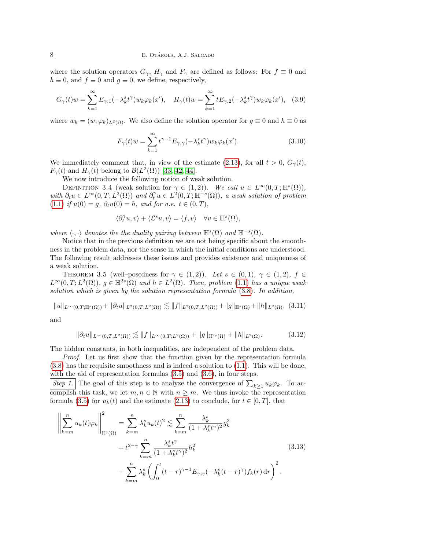where the solution operators  $G_{\gamma}$ ,  $H_{\gamma}$  and  $F_{\gamma}$  are defined as follows: For  $f \equiv 0$  and  $h \equiv 0$ , and  $f \equiv 0$  and  $g \equiv 0$ , we define, respectively,

<span id="page-7-5"></span>
$$
G_{\gamma}(t)w = \sum_{k=1}^{\infty} E_{\gamma,1}(-\lambda_k^s t^{\gamma}) w_k \varphi_k(x'), \quad H_{\gamma}(t)w = \sum_{k=1}^{\infty} t E_{\gamma,2}(-\lambda_k^s t^{\gamma}) w_k \varphi_k(x'), \quad (3.9)
$$

where  $w_k = (w, \varphi_k)_{L^2(\Omega)}$ . We also define the solution operator for  $g \equiv 0$  and  $h \equiv 0$  as

$$
F_{\gamma}(t)w = \sum_{k=1}^{\infty} t^{\gamma - 1} E_{\gamma, \gamma}(-\lambda_k^s t^{\gamma}) w_k \varphi_k(x'). \qquad (3.10)
$$

We immediately comment that, in view of the estimate [\(2.13\)](#page-4-2), for all  $t > 0$ ,  $G_{\gamma}(t)$ ,  $F_{\gamma}(t)$  and  $H_{\gamma}(t)$  belong to  $\mathcal{B}(L^2(\Omega))$  [\[33,](#page-22-22) [42,](#page-22-18) [44\]](#page-22-20).

We now introduce the following notion of weak solution.

<span id="page-7-3"></span>DEFINITION 3.4 (weak solution for  $\gamma \in (1,2)$ ). We call  $u \in L^{\infty}(0,T;\mathbb{H}^{s}(\Omega)),$ with  $\partial_t u \in L^{\infty}(0,T; L^2(\Omega))$  and  $\partial_t^{\gamma} u \in L^2(0,T; \mathbb{H}^{-s}(\Omega))$ , a weak solution of problem [\(1.1\)](#page-0-0) if  $u(0) = g$ ,  $\partial_t u(0) = h$ , and for a.e.  $t \in (0, T)$ ,

$$
\langle \partial_t^{\gamma} u, v \rangle + \langle \mathcal{L}^s u, v \rangle = \langle f, v \rangle \quad \forall v \in \mathbb{H}^s(\Omega),
$$

where  $\langle \cdot, \cdot \rangle$  denotes the the duality pairing between  $\mathbb{H}^{s}(\Omega)$  and  $\mathbb{H}^{-s}(\Omega)$ .

Notice that in the previous definition we are not being specific about the smoothness in the problem data, nor the sense in which the initial conditions are understood. The following result addresses these issues and provides existence and uniqueness of a weak solution.

<span id="page-7-4"></span>THEOREM 3.5 (well–posedness for  $\gamma \in (1,2)$ ). Let  $s \in (0,1)$ ,  $\gamma \in (1,2)$ ,  $f \in$  $L^{\infty}(0,T;L^2(\Omega))$ ,  $g \in \mathbb{H}^{2s}(\Omega)$  and  $h \in L^2(\Omega)$ . Then, problem [\(1.1\)](#page-0-0) has a unique weak solution which is given by the solution representation formula [\(3.8\)](#page-6-3). In addition,

<span id="page-7-1"></span>
$$
||u||_{L^{\infty}(0,T; \mathbb{H}^{s}(\Omega))} + ||\partial_{t} u||_{L^{2}(0,T; L^{2}(\Omega))} \lesssim ||f||_{L^{2}(0,T; L^{2}(\Omega))} + ||g||_{\mathbb{H}^{s}(\Omega)} + ||h||_{L^{2}(\Omega)}, \tag{3.11}
$$

and

<span id="page-7-2"></span>
$$
\|\partial_t u\|_{L^{\infty}(0,T;L^2(\Omega))} \lesssim \|f\|_{L^{\infty}(0,T;L^2(\Omega))} + \|g\|_{\mathbb{H}^{2s}(\Omega)} + \|h\|_{L^2(\Omega)}.
$$
 (3.12)

The hidden constants, in both inequalities, are independent of the problem data.

Proof. Let us first show that the function given by the representation formula  $(3.8)$  has the requisite smoothness and is indeed a solution to  $(1.1)$ . This will be done, with the aid of representation formulas [\(3.5\)](#page-6-2) and [\(3.6\)](#page-6-4), in four steps.

Step 1. The goal of this step is to analyze the convergence of  $\sum_{k\geq 1} u_k \varphi_k$ . To accomplish this task, we let  $m, n \in \mathbb{N}$  with  $n \geq m$ . We thus invoke the representation formula [\(3.5\)](#page-6-2) for  $u_k(t)$  and the estimate [\(2.13\)](#page-4-2) to conclude, for  $t \in [0, T]$ , that

<span id="page-7-0"></span>
$$
\left\| \sum_{k=m}^{n} u_k(t) \varphi_k \right\|_{\mathbb{H}^s(\Omega)}^2 = \sum_{k=m}^{n} \lambda_k^s u_k(t)^2 \lesssim \sum_{k=m}^{n} \frac{\lambda_k^s}{(1 + \lambda_k^s t^{\gamma})^2} g_k^2 + t^{2-\gamma} \sum_{k=m}^{n} \frac{\lambda_k^s t^{\gamma}}{(1 + \lambda_k^s t^{\gamma})^2} h_k^2 + \sum_{k=m}^{n} \lambda_k^s \left( \int_0^t (t - r)^{\gamma - 1} E_{\gamma, \gamma} (-\lambda_k^s (t - r)^{\gamma}) f_k(r) dr \right)^2.
$$
\n(3.13)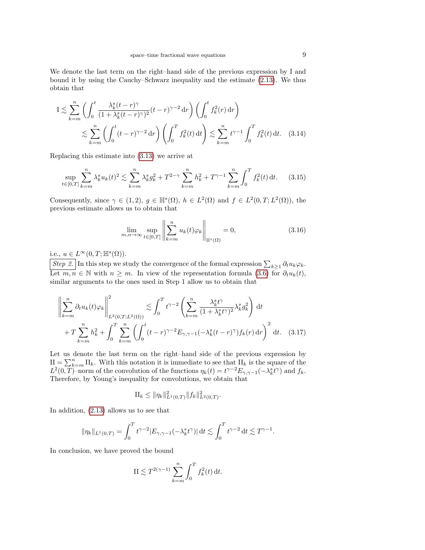We denote the last term on the right–hand side of the previous expression by I and bound it by using the Cauchy–Schwarz inequality and the estimate [\(2.13\)](#page-4-2). We thus obtain that

$$
I \lesssim \sum_{k=m}^{n} \left( \int_{0}^{t} \frac{\lambda_{k}^{s}(t-r)^{\gamma}}{(1+\lambda_{k}^{s}(t-r)^{\gamma})^{2}} (t-r)^{\gamma-2} \, dr \right) \left( \int_{0}^{t} f_{k}^{2}(r) \, dr \right)
$$
  

$$
\lesssim \sum_{k=m}^{n} \left( \int_{0}^{t} (t-r)^{\gamma-2} \, dr \right) \left( \int_{0}^{T} f_{k}^{2}(t) \, dt \right) \lesssim \sum_{k=m}^{n} t^{\gamma-1} \int_{0}^{T} f_{k}^{2}(t) \, dt. \quad (3.14)
$$

Replacing this estimate into [\(3.13\)](#page-7-0) we arrive at

<span id="page-8-2"></span>
$$
\sup_{t \in [0,T]} \sum_{k=m}^{n} \lambda_k^s u_k(t)^2 \lesssim \sum_{k=m}^{n} \lambda_k^s g_k^2 + T^{2-\gamma} \sum_{k=m}^{n} h_k^2 + T^{\gamma-1} \sum_{k=m}^{n} \int_0^T f_k^2(t) dt. \tag{3.15}
$$

Consequently, since  $\gamma \in (1,2)$ ,  $g \in \mathbb{H}^{s}(\Omega)$ ,  $h \in L^{2}(\Omega)$  and  $f \in L^{2}(0,T;L^{2}(\Omega))$ , the previous estimate allows us to obtain that

<span id="page-8-1"></span>
$$
\lim_{m,n \to \infty} \sup_{t \in [0,T]} \left\| \sum_{k=m}^{n} u_k(t)\varphi_k \right\|_{\mathbb{H}^s(\Omega)} = 0,
$$
\n(3.16)

i.e.,  $u \in L^{\infty}(0,T; \mathbb{H}^{s}(\Omega)).$ 

Step 2. In this step we study the convergence of the formal expression  $\sum_{k\geq 1} \partial_t u_k \varphi_k$ . Let  $m, n \in \mathbb{N}$  with  $n \geq m$ . In view of the representation formula [\(3.6\)](#page-6-4) for  $\partial_t u_k(t)$ , similar arguments to the ones used in Step 1 allow us to obtain that

$$
\left\| \sum_{k=m}^{n} \partial_t u_k(t) \varphi_k \right\|_{L^2(0,T;L^2(\Omega))}^2 \lesssim \int_0^T t^{\gamma-2} \left( \sum_{k=m}^n \frac{\lambda_k^s t^{\gamma}}{(1+\lambda_k^s t^{\gamma})^2} \lambda_k^s g_k^2 \right) dt
$$
  
+  $T \sum_{k=m}^n h_k^2 + \int_0^T \sum_{k=m}^n \left( \int_0^t (t-r)^{\gamma-2} E_{\gamma,\gamma-1}(-\lambda_k^s (t-r)^{\gamma}) f_k(r) dr \right)^2 dt.$  (3.17)

Let us denote the last term on the right–hand side of the previous expression by  $II = \sum_{k=m}^{n} II_k$ . With this notation it is immediate to see that  $II_k$  is the square of the  $L^2(0,T)$ –norm of the convolution of the functions  $\eta_k(t) = t^{\gamma-2} E_{\gamma,\gamma-1}(-\lambda_k^s t^{\gamma})$  and  $f_k$ . Therefore, by Young's inequality for convolutions, we obtain that

<span id="page-8-0"></span>
$$
\Pi_k \leq \|\eta_k\|_{L^1(0,T)}^2 \|f_k\|_{L^2(0,T)}^2.
$$

In addition, [\(2.13\)](#page-4-2) allows us to see that

$$
\|\eta_k\|_{L^1(0,T)} = \int_0^T t^{\gamma-2} |E_{\gamma,\gamma-1}(-\lambda_k^s t^{\gamma})| dt \lesssim \int_0^T t^{\gamma-2} dt \lesssim T^{\gamma-1}.
$$

In conclusion, we have proved the bound

$$
II \lesssim T^{2(\gamma - 1)} \sum_{k=m}^{n} \int_{0}^{T} f_{k}^{2}(t) dt.
$$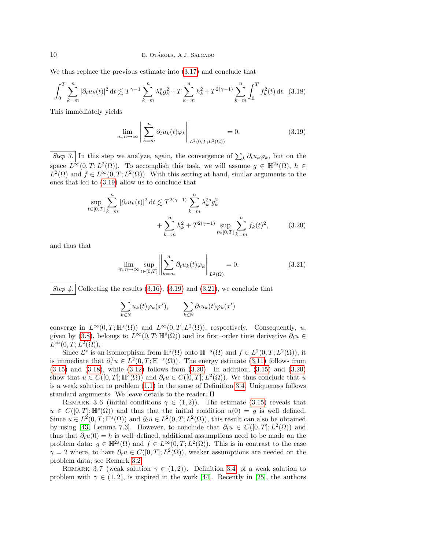We thus replace the previous estimate into [\(3.17\)](#page-8-0) and conclude that

<span id="page-9-2"></span>
$$
\int_0^T \sum_{k=m}^n |\partial_t u_k(t)|^2 dt \lesssim T^{\gamma-1} \sum_{k=m}^n \lambda_k^s g_k^2 + T \sum_{k=m}^n h_k^2 + T^{2(\gamma-1)} \sum_{k=m}^n \int_0^T f_k^2(t) dt. \tag{3.18}
$$

This immediately yields

<span id="page-9-0"></span>
$$
\lim_{m,n \to \infty} \left\| \sum_{k=m}^{n} \partial_t u_k(t) \varphi_k \right\|_{L^2(0,T;L^2(\Omega))} = 0.
$$
\n(3.19)

Step 3. In this step we analyze, again, the convergence of  $\sum_k \partial_t u_k \varphi_k$ , but on the space  $\overline{L}^{\infty}(0,T;L^2(\Omega))$ . To accomplish this task, we will assume  $g \in \mathbb{H}^{2s}(\Omega)$ ,  $h \in$  $L^2(\Omega)$  and  $f \in L^{\infty}(0,T; L^2(\Omega))$ . With this setting at hand, similar arguments to the ones that led to [\(3.19\)](#page-9-0) allow us to conclude that

$$
\sup_{t \in [0,T]} \sum_{k=m}^{n} |\partial_t u_k(t)|^2 dt \lesssim T^{2(\gamma-1)} \sum_{k=m}^{n} \lambda_k^{2s} g_k^2 + \sum_{k=m}^{n} h_k^2 + T^{2(\gamma-1)} \sup_{t \in [0,T]} \sum_{k=m}^{n} f_k(t)^2,
$$
 (3.20)

and thus that

<span id="page-9-3"></span><span id="page-9-1"></span>
$$
\lim_{m,n \to \infty} \sup_{t \in [0,T]} \left\| \sum_{k=m}^{n} \partial_t u_k(t) \varphi_k \right\|_{L^2(\Omega)} = 0.
$$
\n(3.21)

Step 4. Collecting the results  $(3.16)$ ,  $(3.19)$  and  $(3.21)$ , we conclude that

$$
\sum_{k \in \mathbb{N}} u_k(t) \varphi_k(x'), \qquad \sum_{k \in \mathbb{N}} \partial_t u_k(t) \varphi_k(x')
$$

converge in  $L^{\infty}(0,T;\mathbb{H}^{s}(\Omega))$  and  $L^{\infty}(0,T;L^{2}(\Omega))$ , respectively. Consequently, u, given by [\(3.8\)](#page-6-3), belongs to  $L^{\infty}(0,T;\mathbb{H}^{s}(\Omega))$  and its first–order time derivative  $\partial_{t}u \in$  $L^{\infty}(0,T;L^{2}(\Omega)).$ 

Since  $\mathcal{L}^s$  is an isomorphism from  $\mathbb{H}^s(\Omega)$  onto  $\mathbb{H}^{-s}(\Omega)$  and  $f \in L^2(0,T; L^2(\Omega))$ , it is immediate that  $\partial_t^{\gamma} u \in L^2(0,T;\mathbb{H}^{-s}(\Omega))$ . The energy estimate [\(3.11\)](#page-7-1) follows from [\(3.15\)](#page-8-2) and [\(3.18\)](#page-9-2), while [\(3.12\)](#page-7-2) follows from [\(3.20\)](#page-9-3). In addition, [\(3.15\)](#page-8-2) and [\(3.20\)](#page-9-3) show that  $u \in C([0,T]; \mathbb{H}^s(\Omega))$  and  $\partial_t u \in C([0,T]; L^2(\Omega))$ . We thus conclude that u is a weak solution to problem [\(1.1\)](#page-0-0) in the sense of Definition [3.4.](#page-7-3) Uniqueness follows standard arguments. We leave details to the reader.

REMARK 3.6 (initial conditions  $\gamma \in (1,2)$ ). The estimate [\(3.15\)](#page-8-2) reveals that  $u \in C([0,T]; \mathbb{H}^s(\Omega))$  and thus that the initial condition  $u(0) = g$  is well-defined. Since  $u \in L^2(0,T;\mathbb{H}^s(\Omega))$  and  $\partial_t u \in L^2(0,T;L^2(\Omega))$ , this result can also be obtained by using [\[43,](#page-22-21) Lemma 7.3]. However, to conclude that  $\partial_t u \in C([0,T]; L^2(\Omega))$  and thus that  $\partial_t u(0) = h$  is well–defined, additional assumptions need to be made on the problem data:  $g \in \mathbb{H}^{2s}(\Omega)$  and  $f \in L^{\infty}(0,T; L^{2}(\Omega))$ . This is in contrast to the case  $\gamma = 2$  where, to have  $\partial_t u \in C([0,T]; L^2(\Omega))$ , weaker assumptions are needed on the problem data; see Remark [3.2.](#page-5-5)

REMARK 3.7 (weak solution  $\gamma \in (1,2)$ ). Definition [3.4,](#page-7-3) of a weak solution to problem with  $\gamma \in (1, 2)$ , is inspired in the work [\[44\]](#page-22-20). Recently in [\[25\]](#page-22-19), the authors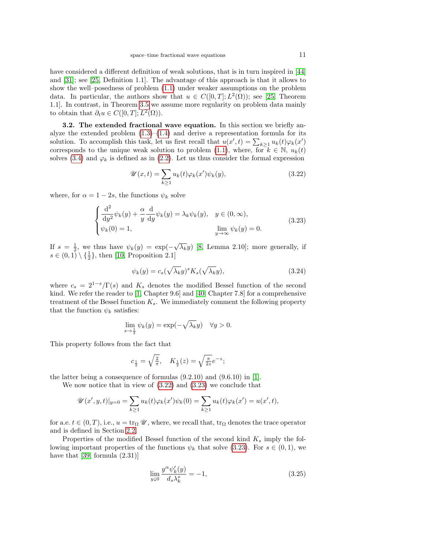have considered a different definition of weak solutions, that is in turn inspired in [\[44\]](#page-22-20) and [\[31\]](#page-22-23); see [\[25,](#page-22-19) Definition 1.1]. The advantage of this approach is that it allows to show the well–posedness of problem [\(1.1\)](#page-0-0) under weaker assumptions on the problem data. In particular, the authors show that  $u \in C([0,T]; L^2(\Omega))$ ; see [\[25,](#page-22-19) Theorem 1.1]. In contrast, in Theorem [3.5](#page-7-4) we assume more regularity on problem data mainly to obtain that  $\partial_t u \in C([0,T]; L^2(\Omega)).$ 

<span id="page-10-0"></span>3.2. The extended fractional wave equation. In this section we briefly analyze the extended problem  $(1.3)$ – $(1.4)$  and derive a representation formula for its solution. To accomplish this task, let us first recall that  $u(x', t) = \sum_{k \geq 1} u_k(t) \varphi_k(x')$ corresponds to the unique weak solution to problem [\(1.1\)](#page-0-0), where, for  $k \in \mathbb{N}$ ,  $u_k(t)$ solves [\(3.4\)](#page-6-0) and  $\varphi_k$  is defined as in [\(2.2\)](#page-3-2). Let us thus consider the formal expression

<span id="page-10-1"></span>
$$
\mathcal{U}(x,t) = \sum_{k \ge 1} u_k(t)\varphi_k(x')\psi_k(y),\tag{3.22}
$$

where, for  $\alpha = 1 - 2s$ , the functions  $\psi_k$  solve

<span id="page-10-2"></span>
$$
\begin{cases}\n\frac{\mathrm{d}^2}{\mathrm{d}y^2}\psi_k(y) + \frac{\alpha}{y}\frac{\mathrm{d}}{\mathrm{d}y}\psi_k(y) = \lambda_k \psi_k(y), & y \in (0, \infty), \\
\psi_k(0) = 1, & \lim_{y \to \infty} \psi_k(y) = 0.\n\end{cases}
$$
\n(3.23)

If  $s = \frac{1}{2}$ , we thus have  $\psi_k(y) = \exp(-\sqrt{\lambda_k}y)$  [\[8,](#page-21-1) Lemma 2.10]; more generally, if  $s \in (0,1) \setminus {\frac{1}{2}}$ , then [\[10,](#page-21-2) Proposition 2.1]

<span id="page-10-4"></span>
$$
\psi_k(y) = c_s(\sqrt{\lambda_k}y)^s K_s(\sqrt{\lambda_k}y), \qquad (3.24)
$$

where  $c_s = 2^{1-s}/\Gamma(s)$  and  $K_s$  denotes the modified Bessel function of the second kind. We refer the reader to [\[1,](#page-21-19) Chapter 9.6] and [\[40,](#page-22-24) Chapter 7.8] for a comprehensive treatment of the Bessel function  $K_s$ . We immediately comment the following property that the function  $\psi_k$  satisfies:

$$
\lim_{s \to \frac{1}{2}} \psi_k(y) = \exp(-\sqrt{\lambda_k}y) \quad \forall y > 0.
$$

This property follows from the fact that

$$
c_{\frac{1}{2}} = \sqrt{\frac{2}{\pi}}, \quad K_{\frac{1}{2}}(z) = \sqrt{\frac{\pi}{2z}}e^{-z};
$$

the latter being a consequence of formulas (9.2.10) and (9.6.10) in [\[1\]](#page-21-19).

We now notice that in view of [\(3.22\)](#page-10-1) and [\(3.23\)](#page-10-2) we conclude that

$$
\mathscr{U}(x',y,t)|_{y=0} = \sum_{k\geq 1} u_k(t)\varphi_k(x')\psi_k(0) = \sum_{k\geq 1} u_k(t)\varphi_k(x') = u(x',t),
$$

for a.e.  $t \in (0, T)$ , i.e.,  $u = \text{tr}_{\Omega} \mathscr{U}$ , where, we recall that,  $\text{tr}_{\Omega}$  denotes the trace operator and is defined in Section [2.2.](#page-3-1)

Properties of the modified Bessel function of the second kind  $K_s$  imply the following important properties of the functions  $\psi_k$  that solve [\(3.23\)](#page-10-2). For  $s \in (0,1)$ , we have that [\[39,](#page-22-9) formula  $(2.31)$ ]

<span id="page-10-3"></span>
$$
\lim_{y \downarrow 0} \frac{y^{\alpha} \psi_k'(y)}{d_s \lambda_k^s} = -1, \tag{3.25}
$$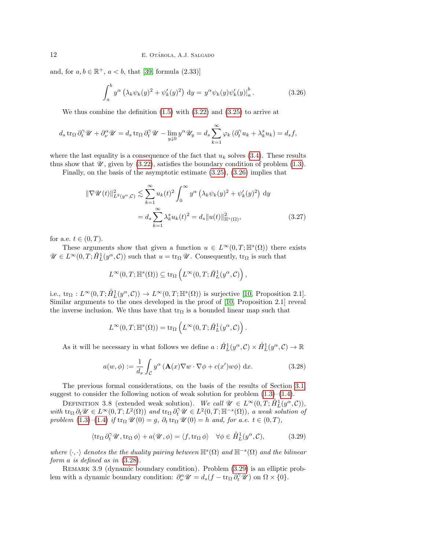and, for  $a, b \in \mathbb{R}^+$ ,  $a < b$ , that [\[39,](#page-22-9) formula (2.33)]

<span id="page-11-0"></span>
$$
\int_{a}^{b} y^{\alpha} \left(\lambda_{k} \psi_{k}(y)^{2} + \psi'_{k}(y)^{2}\right) dy = y^{\alpha} \psi_{k}(y) \psi'_{k}(y) \big|_{a}^{b}.
$$
 (3.26)

We thus combine the definition  $(1.5)$  with  $(3.22)$  and  $(3.25)$  to arrive at

$$
d_s \operatorname{tr}_{\Omega} \partial_t^{\gamma} \mathscr{U} + \partial_{\nu}^{\alpha} \mathscr{U} = d_s \operatorname{tr}_{\Omega} \partial_t^{\gamma} \mathscr{U} - \lim_{y \downarrow 0} y^{\alpha} \mathscr{U}_y = d_s \sum_{k=1}^{\infty} \varphi_k \left( \partial_t^{\gamma} u_k + \lambda_k^s u_k \right) = d_s f,
$$

where the last equality is a consequence of the fact that  $u_k$  solves [\(3.4\)](#page-6-0). These results thus show that  $\mathcal U$ , given by [\(3.22\)](#page-10-1), satisfies the boundary condition of problem [\(1.3\)](#page-1-0).

Finally, on the basis of the asymptotic estimate [\(3.25\)](#page-10-3), [\(3.26\)](#page-11-0) implies that

$$
\|\nabla \mathcal{U}(t)\|_{L^2(y^{\alpha}, \mathcal{C})}^2 \lesssim \sum_{k=1}^{\infty} u_k(t)^2 \int_0^{\infty} y^{\alpha} \left(\lambda_k \psi_k(y)^2 + \psi'_k(y)^2\right) dy
$$

$$
= d_s \sum_{k=1}^{\infty} \lambda_k^s u_k(t)^2 = d_s \|u(t)\|_{\mathbb{H}^s(\Omega)}^2,
$$
(3.27)

for a.e.  $t \in (0, T)$ .

These arguments show that given a function  $u \in L^{\infty}(0,T;\mathbb{H}^{s}(\Omega))$  there exists  $\mathscr{U} \in L^{\infty}(0,T; \mathring{H}^{1}_{L}(y^{\alpha}, \mathcal{C}))$  such that  $u = \text{tr}_{\Omega} \mathscr{U}$ . Consequently,  $\text{tr}_{\Omega}$  is such that

$$
L^{\infty}(0,T;\mathbb{H}^{s}(\Omega))\subseteq \text{tr}_{\Omega}\left( L^{\infty}(0,T;\mathring{H}^{1}_{L}(y^{\alpha},\mathcal{C})\right),\,
$$

i.e.,  $\text{tr}_{\Omega}: L^{\infty}(0,T; \mathring{H}^{1}_{L}(y^{\alpha}, \mathcal{C})) \to L^{\infty}(0,T; \mathbb{H}^{s}(\Omega))$  is surjective [\[10,](#page-21-2) Proposition 2.1]. Similar arguments to the ones developed in the proof of [\[10,](#page-21-2) Proposition 2.1] reveal the inverse inclusion. We thus have that  $\text{tr}_{\Omega}$  is a bounded linear map such that

$$
L^{\infty}(0,T;\mathbb{H}^{s}(\Omega)) = \text{tr}_{\Omega}\left(L^{\infty}(0,T;\mathring{H}^{1}_{L}(y^{\alpha},\mathcal{C})\right)
$$

As it will be necessary in what follows we define  $a: \mathring{H}^1_L(y^\alpha, \mathcal{C}) \times \mathring{H}^1_L(y^\alpha, \mathcal{C}) \to \mathbb{R}$ 

<span id="page-11-1"></span>
$$
a(w,\phi) := \frac{1}{d_s} \int_{\mathcal{C}} y^{\alpha} \left( \mathbf{A}(x) \nabla w \cdot \nabla \phi + c(x') w \phi \right) dx.
$$
 (3.28)

<span id="page-11-4"></span>.

The previous formal considerations, on the basis of the results of Section [3.1,](#page-5-0) suggest to consider the following notion of weak solution for problem  $(1.3)$ – $(1.4)$ .

<span id="page-11-3"></span>DEFINITION 3.8 (extended weak solution). We call  $\mathscr{U} \in L^{\infty}(0,T; \overset{\circ}{H}_{L}^{1}(y^{\alpha}, \mathcal{C}))$ , with  $\text{tr}_{\Omega} \partial_t \mathscr{U} \in L^{\infty}(0,T; L^2(\Omega))$  and  $\text{tr}_{\Omega} \partial_t^{\gamma} \mathscr{U} \in L^2(0,T; \mathbb{H}^{-s}(\Omega)),$  a weak solution of problem  $(1.3)$ – $(1.4)$  if  $\text{tr}_{\Omega} \mathscr{U}(0) = g$ ,  $\partial_t \text{tr}_{\Omega} \mathscr{U}(0) = h$  and, for a.e.  $t \in (0, T)$ ,

<span id="page-11-2"></span>
$$
\langle \operatorname{tr}_{\Omega} \partial_t^{\gamma} \mathscr{U}, \operatorname{tr}_{\Omega} \phi \rangle + a(\mathscr{U}, \phi) = \langle f, \operatorname{tr}_{\Omega} \phi \rangle \quad \forall \phi \in \mathring{H}_L^1(y^{\alpha}, \mathcal{C}), \tag{3.29}
$$

where  $\langle \cdot, \cdot \rangle$  denotes the the duality pairing between  $\mathbb{H}^s(\Omega)$  and  $\mathbb{H}^{-s}(\Omega)$  and the bilinear form a is defined as in [\(3.28\)](#page-11-1).

Remark 3.9 (dynamic boundary condition). Problem [\(3.29\)](#page-11-2) is an elliptic problem with a dynamic boundary condition:  $\partial_{\nu}^{\alpha} \mathscr{U} = d_s(f - \text{tr}_{\Omega} \partial_t^{\gamma} \mathscr{U})$  on  $\Omega \times \{0\}$ .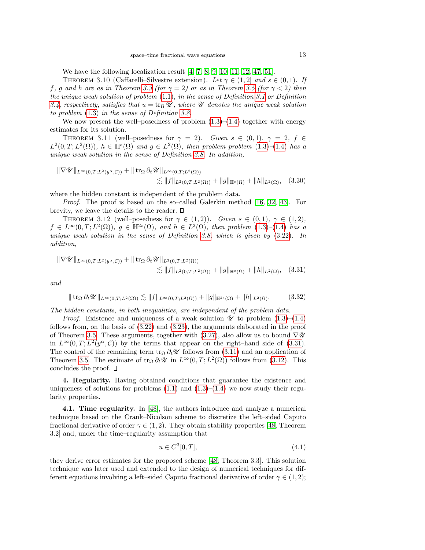We have the following localization result [\[4,](#page-21-3) [7,](#page-21-20) [8,](#page-21-1) [9,](#page-21-0) [10,](#page-21-2) [11,](#page-21-4) [12,](#page-21-5) [47,](#page-22-4) [51\]](#page-23-0).

<span id="page-12-3"></span>THEOREM 3.10 (Caffarelli–Silvestre extension). Let  $\gamma \in (1,2]$  and  $s \in (0,1)$ . If f, g and h are as in Theorem [3.3](#page-5-6) (for  $\gamma = 2$ ) or as in Theorem [3.5](#page-7-4) (for  $\gamma < 2$ ) then the unique weak solution of problem  $(1.1)$ , in the sense of Definition [3.1](#page-5-1) or Definition [3.4,](#page-7-3) respectively, satisfies that  $u = \text{tr}_{\Omega} \mathscr{U}$ , where  $\mathscr{U}$  denotes the unique weak solution to problem [\(1.3\)](#page-1-0) in the sense of Definition [3.8.](#page-11-3)

We now present the well–posedness of problem  $(1.3)$ – $(1.4)$  together with energy estimates for its solution.

THEOREM 3.11 (well–posedness for  $\gamma = 2$ ). Given  $s \in (0,1)$ ,  $\gamma = 2$ ,  $f \in$  $L^2(0,T;L^2(\Omega))$ ,  $h \in \mathbb{H}^s(\Omega)$  and  $g \in L^2(\Omega)$ , then problem problem  $(1.3)$ - $(1.4)$  has a unique weak solution in the sense of Definition [3.8.](#page-11-3) In addition,

$$
\|\nabla \mathscr{U}\|_{L^{\infty}(0,T;L^{2}(y^{\alpha},\mathcal{C}))} + \|\operatorname{tr}_{\Omega} \partial_{t} \mathscr{U}\|_{L^{\infty}(0,T;L^{2}(\Omega))} \n\lesssim \|f\|_{L^{2}(0,T;L^{2}(\Omega))} + \|g\|_{\mathbb{H}^{s}(\Omega)} + \|h\|_{L^{2}(\Omega)}, \quad (3.30)
$$

where the hidden constant is independent of the problem data.

Proof. The proof is based on the so–called Galerkin method [\[16,](#page-21-18) [32,](#page-22-14) [43\]](#page-22-21). For brevity, we leave the details to the reader.  $\square$ 

THEOREM 3.12 (well–posedness for  $\gamma \in (1,2)$ ). Given  $s \in (0,1)$ ,  $\gamma \in (1,2)$ ,  $f \in L^{\infty}(0,T;L^2(\Omega)), g \in \mathbb{H}^{2s}(\Omega), \text{ and } h \in L^2(\Omega), \text{ then problem } (1.3)–(1.4) \text{ has a }$  $f \in L^{\infty}(0,T;L^2(\Omega)), g \in \mathbb{H}^{2s}(\Omega), \text{ and } h \in L^2(\Omega), \text{ then problem } (1.3)–(1.4) \text{ has a }$  $f \in L^{\infty}(0,T;L^2(\Omega)), g \in \mathbb{H}^{2s}(\Omega), \text{ and } h \in L^2(\Omega), \text{ then problem } (1.3)–(1.4) \text{ has a }$  $f \in L^{\infty}(0,T;L^2(\Omega)), g \in \mathbb{H}^{2s}(\Omega), \text{ and } h \in L^2(\Omega), \text{ then problem } (1.3)–(1.4) \text{ has a }$  $f \in L^{\infty}(0,T;L^2(\Omega)), g \in \mathbb{H}^{2s}(\Omega), \text{ and } h \in L^2(\Omega), \text{ then problem } (1.3)–(1.4) \text{ has a }$ unique weak solution in the sense of Definition [3.8,](#page-11-3) which is given by  $(3.22)$ . In addition,

$$
\|\nabla \mathscr{U}\|_{L^{\infty}(0,T;L^{2}(y^{\alpha},\mathcal{C}))} + \|\operatorname{tr}_{\Omega} \partial_{t} \mathscr{U}\|_{L^{2}(0,T;L^{2}(\Omega))} \n\lesssim \|f\|_{L^{2}(0,T;L^{2}(\Omega))} + \|g\|_{\mathbb{H}^{s}(\Omega)} + \|h\|_{L^{2}(\Omega)}, \quad (3.31)
$$

and

<span id="page-12-1"></span>
$$
\|\operatorname{tr}_{\Omega}\partial_t \mathscr{U}\|_{L^{\infty}(0,T;L^2(\Omega))} \lesssim \|f\|_{L^{\infty}(0,T;L^2(\Omega))} + \|g\|_{\mathbb{H}^{2s}(\Omega)} + \|h\|_{L^2(\Omega)}.
$$
 (3.32)

The hidden constants, in both inequalities, are independent of the problem data.

*Proof.* Existence and uniqueness of a weak solution  $\mathscr U$  to problem  $(1.3)$ – $(1.4)$ follows from, on the basis of [\(3.22\)](#page-10-1) and [\(3.23\)](#page-10-2), the arguments elaborated in the proof of Theorem [3.5.](#page-7-4) These arguments, together with [\(3.27\)](#page-11-4), also allow us to bound  $\nabla \mathscr{U}$ in  $L^{\infty}(0,T; L^2(y^{\alpha}, \mathcal{C}))$  by the terms that appear on the right–hand side of [\(3.31\)](#page-12-1). The control of the remaining term  $\text{tr}_{\Omega} \partial_t \mathscr{U}$  follows from [\(3.11\)](#page-7-1) and an application of Theorem [3.5.](#page-7-4) The estimate of  $\text{tr}_{\Omega} \partial_t \mathscr{U}$  in  $L^{\infty}(0,T; L^2(\Omega))$  follows from [\(3.12\)](#page-7-2). This concludes the proof.

4. Regularity. Having obtained conditions that guarantee the existence and uniqueness of solutions for problems  $(1.1)$  and  $(1.3)$ – $(1.4)$  we now study their regularity properties.

<span id="page-12-0"></span>4.1. Time regularity. In [\[48\]](#page-22-7), the authors introduce and analyze a numerical technique based on the Crank–Nicolson scheme to discretize the left–sided Caputo fractional derivative of order  $\gamma \in (1, 2)$ . They obtain stability properties [\[48,](#page-22-7) Theorem 3.2] and, under the time–regularity assumption that

<span id="page-12-2"></span>
$$
u \in C^3[0, T],\tag{4.1}
$$

they derive error estimates for the proposed scheme [\[48,](#page-22-7) Theorem 3.3]. This solution technique was later used and extended to the design of numerical techniques for different equations involving a left–sided Caputo fractional derivative of order  $\gamma \in (1, 2)$ ;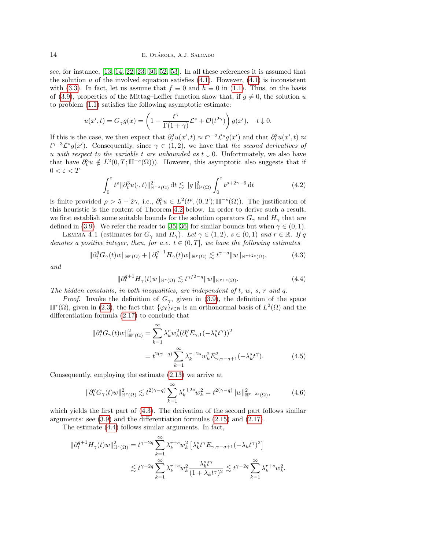see, for instance, [\[13,](#page-21-8) [14,](#page-21-9) [22,](#page-21-21) [23,](#page-22-8) [30,](#page-22-25) [52,](#page-23-1) [53\]](#page-23-2). In all these references it is assumed that the solution u of the involved equation satisfies  $(4.1)$ . However,  $(4.1)$  is inconsistent with [\(3.3\)](#page-6-1). In fact, let us assume that  $f \equiv 0$  and  $h \equiv 0$  in [\(1.1\)](#page-0-0). Thus, on the basis of [\(3.9\)](#page-7-5), properties of the Mittag–Leffler function show that, if  $q \neq 0$ , the solution u to problem [\(1.1\)](#page-0-0) satisfies the following asymptotic estimate:

$$
u(x',t) = G_{\gamma}g(x) = \left(1 - \frac{t^{\gamma}}{\Gamma(1+\gamma)}\mathcal{L}^s + \mathcal{O}(t^{2\gamma})\right)g(x'), \quad t \downarrow 0.
$$

If this is the case, we then expect that  $\partial_t^2 u(x',t) \approx t^{\gamma-2} \mathcal{L}^s g(x')$  and that  $\partial_t^3 u(x',t) \approx$  $t^{\gamma-3}\mathcal{L}^s g(x')$ . Consequently, since  $\gamma \in (1,2)$ , we have that the second derivatives of u with respect to the variable t are unbounded as  $t \downarrow 0$ . Unfortunately, we also have that have  $\partial_t^3 u \notin L^2(0,T;\mathbb{H}^{-s}(\Omega))$ . However, this asymptotic also suggests that if  $0 < \varepsilon < T$ 

$$
\int_0^{\varepsilon} t^{\rho} \|\partial_t^3 u(\cdot, t)\|_{\mathbb{H}^{-s}(\Omega)}^2 dt \lesssim \|g\|_{\mathbb{H}^s(\Omega)}^2 \int_0^{\varepsilon} t^{\rho+2\gamma-6} dt \tag{4.2}
$$

is finite provided  $\rho > 5 - 2\gamma$ , i.e.,  $\partial_t^3 u \in L^2(t^{\rho}, (0,T); \mathbb{H}^{-s}(\Omega))$ . The justification of this heuristic is the content of Theorem [4.2](#page-14-0) below. In order to derive such a result, we first establish some suitable bounds for the solution operators  $G_\gamma$  and  $H_\gamma$  that are defined in [\(3.9\)](#page-7-5). We refer the reader to [\[35,](#page-22-26) [36\]](#page-22-27) for similar bounds but when  $\gamma \in (0,1)$ .

<span id="page-13-2"></span>LEMMA 4.1 (estimates for  $G_\gamma$  and  $H_\gamma$ ). Let  $\gamma \in (1,2)$ ,  $s \in (0,1)$  and  $r \in \mathbb{R}$ . If q denotes a positive integer, then, for a.e.  $t \in (0, T]$ , we have the following estimates

<span id="page-13-0"></span>
$$
\|\partial_t^q G_\gamma(t)w\|_{\mathbb{H}^r(\Omega)} + \|\partial_t^{q+1} H_\gamma(t)w\|_{\mathbb{H}^r(\Omega)} \lesssim t^{\gamma-q} \|w\|_{\mathbb{H}^{r+2s}(\Omega)},\tag{4.3}
$$

and

<span id="page-13-1"></span>
$$
\|\partial_t^{q+1} H_\gamma(t)w\|_{\mathbb{H}^r(\Omega)} \lesssim t^{\gamma/2-q} \|w\|_{\mathbb{H}^{r+s}(\Omega)}.
$$
\n(4.4)

The hidden constants, in both inequalities, are independent of  $t, w, s, r$  and  $q$ .

*Proof.* Invoke the definition of  $G_\gamma$ , given in [\(3.9\)](#page-7-5), the definition of the space  $\mathbb{H}^r(\Omega)$ , given in [\(2.3\)](#page-3-3), the fact that  $\{\varphi_\ell\}_{\ell \in \mathbb{N}}$  is an orthonormal basis of  $L^2(\Omega)$  and the differentiation formula [\(2.17\)](#page-5-4) to conclude that

$$
\|\partial_t^q G_\gamma(t)w\|_{\mathbb{H}^r(\Omega)}^2 = \sum_{k=1}^{\infty} \lambda_k^r w_k^2 (\partial_t^q E_{\gamma,1}(-\lambda_k^s t^\gamma))^2
$$
  
=  $t^{2(\gamma-q)} \sum_{k=1}^{\infty} \lambda_k^{r+2s} w_k^2 E_{\gamma,\gamma-q+1}^2(-\lambda_k^s t^\gamma).$  (4.5)

Consequently, employing the estimate [\(2.13\)](#page-4-2) we arrive at

$$
\|\partial_t^q G_\gamma(t)w\|_{\mathbb{H}^r(\Omega)}^2 \lesssim t^{2(\gamma-q)} \sum_{k=1}^\infty \lambda_k^{r+2s} w_k^2 = t^{2(\gamma-q)} \|w\|_{\mathbb{H}^{r+2s}(\Omega)}^2,
$$
\n(4.6)

.

which yields the first part of  $(4.3)$ . The derivation of the second part follows similar arguments: see [\(3.9\)](#page-7-5) and the differentiation formulas [\(2.15\)](#page-5-2) and [\(2.17\)](#page-5-4).

The estimate [\(4.4\)](#page-13-1) follows similar arguments. In fact,

$$
\begin{aligned} \|\partial_t^{q+1} H_\gamma(t) w\|_{\mathbb{H}^r(\Omega)}^2 &= t^{\gamma-2q}\sum_{k=1}^\infty \lambda_k^{r+s} w_k^2 \left[\lambda_k^s t^\gamma E_{\gamma,\gamma-q+1}(-\lambda_k t^\gamma)^2\right] \\ &\lesssim t^{\gamma-2q}\sum_{k=1}^\infty \lambda_k^{r+s} w_k^2 \frac{\lambda_k^s t^\gamma}{(1+\lambda_k t^\gamma)^2} \lesssim t^{\gamma-2q}\sum_{k=1}^\infty \lambda_k^{r+s} w_k^2 \end{aligned}
$$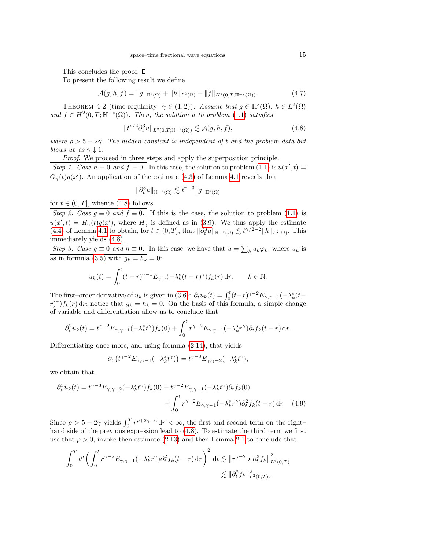This concludes the proof.  $\square$ 

To present the following result we define

$$
\mathcal{A}(g,h,f) = \|g\|_{\mathbb{H}^s(\Omega)} + \|h\|_{L^2(\Omega)} + \|f\|_{H^2(0,T;\mathbb{H}^{-s}(\Omega))}.
$$
\n(4.7)

<span id="page-14-0"></span>THEOREM 4.2 (time regularity:  $\gamma \in (1,2)$ ). Assume that  $g \in \mathbb{H}^s(\Omega)$ ,  $h \in L^2(\Omega)$ and  $f \in H^2(0,T;\mathbb{H}^{-s}(\Omega))$ . Then, the solution u to problem [\(1.1\)](#page-0-0) satisfies

<span id="page-14-1"></span>
$$
||t^{\rho/2}\partial_t^3 u||_{L^2(0,T;\mathbb{H}^{-s}(\Omega))} \lesssim \mathcal{A}(g,h,f),
$$
\n(4.8)

where  $\rho > 5 - 2\gamma$ . The hidden constant is independent of t and the problem data but blows up as  $\gamma \downarrow 1$ .

Proof. We proceed in three steps and apply the superposition principle. Step 1. Case  $h \equiv 0$  and  $f \equiv 0$ . In this case, the solution to problem [\(1.1\)](#page-0-0) is  $u(x', t) =$  $G_{\gamma}(t)g(x')$ . An application of the estimate [\(4.3\)](#page-13-0) of Lemma [4.1](#page-13-2) reveals that

$$
\|\partial_t^3 u\|_{\mathbb{H}^{-s}(\Omega)} \lesssim t^{\gamma-3} \|g\|_{\mathbb{H}^s(\Omega)}
$$

for  $t \in (0, T]$ , whence  $(4.8)$  follows.

Step 2. Case  $g \equiv 0$  and  $f \equiv 0$ . If this is the case, the solution to problem [\(1.1\)](#page-0-0) is  $u(x',t) = H_{\gamma}(t)g(x')$ , where  $H_{\gamma}$  is defined as in [\(3.9\)](#page-7-5). We thus apply the estimate [\(4.4\)](#page-13-1) of Lemma [4.1](#page-13-2) to obtain, for  $t \in (0,T]$ , that  $\|\partial_t^3 u\|_{\mathbb{H}^{-s}(\Omega)} \lesssim t^{\gamma/2-2} \|h\|_{L^2(\Omega)}$ . This immediately yields [\(4.8\)](#page-14-1).

Step 3. Case  $g \equiv 0$  and  $h \equiv 0$ . In this case, we have that  $u = \sum_k u_k \varphi_k$ , where  $u_k$  is as in formula [\(3.5\)](#page-6-2) with  $g_k = h_k = 0$ :

$$
u_k(t) = \int_0^t (t - r)^{\gamma - 1} E_{\gamma, \gamma}(-\lambda_k^s (t - r)^\gamma) f_k(r) dr, \qquad k \in \mathbb{N}.
$$

The first–order derivative of  $u_k$  is given in [\(3.6\)](#page-6-4):  $\partial_t u_k(t) = \int_0^t (t-r)^{\gamma-2} E_{\gamma,\gamma-1}(-\lambda_k^s(t-r))$  $(r)^{\gamma}$ f<sub>k</sub>(r) dr; notice that  $g_k = h_k = 0$ . On the basis of this formula, a simple change of variable and differentiation allow us to conclude that

$$
\partial_t^2 u_k(t) = t^{\gamma - 2} E_{\gamma, \gamma - 1}(-\lambda_k^s t^{\gamma}) f_k(0) + \int_0^t r^{\gamma - 2} E_{\gamma, \gamma - 1}(-\lambda_k^s r^{\gamma}) \partial_t f_k(t - r) dr.
$$

Differentiating once more, and using formula [\(2.14\)](#page-4-3), that yields

$$
\partial_t \left( t^{\gamma - 2} E_{\gamma, \gamma - 1}(-\lambda_k^s t^{\gamma}) \right) = t^{\gamma - 3} E_{\gamma, \gamma - 2}(-\lambda_k^s t^{\gamma}),
$$

we obtain that

$$
\partial_t^3 u_k(t) = t^{\gamma - 3} E_{\gamma, \gamma - 2}(-\lambda_k^s t^{\gamma}) f_k(0) + t^{\gamma - 2} E_{\gamma, \gamma - 1}(-\lambda_k^s t^{\gamma}) \partial_t f_k(0)
$$

$$
+ \int_0^t r^{\gamma - 2} E_{\gamma, \gamma - 1}(-\lambda_k^s r^{\gamma}) \partial_t^2 f_k(t - r) dr. \quad (4.9)
$$

Since  $\rho > 5 - 2\gamma$  yields  $\int_0^T r^{\rho+2\gamma-6} dr < \infty$ , the first and second term on the right– hand side of the previous expression lead to [\(4.8\)](#page-14-1). To estimate the third term we first use that  $\rho > 0$ , invoke then estimate [\(2.13\)](#page-4-2) and then Lemma [2.1](#page-4-4) to conclude that

$$
\int_0^T t^{\rho} \left( \int_0^t r^{\gamma - 2} E_{\gamma, \gamma - 1}(-\lambda_k^s r^{\gamma}) \partial_t^2 f_k(t - r) \, dr \right)^2 dt \lesssim \| r^{\gamma - 2} \star \partial_t^2 f_k \|_{L^2(0, T)}^2
$$
  

$$
\lesssim \| \partial_t^2 f_k \|_{L^2(0, T)}^2,
$$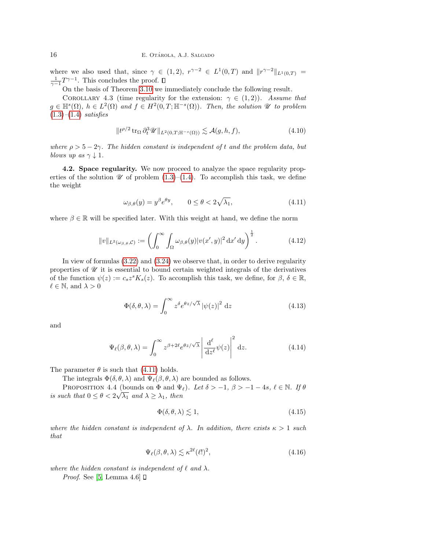where we also used that, since  $\gamma \in (1,2)$ ,  $r^{\gamma-2} \in L^1(0,T)$  and  $||r^{\gamma-2}||_{L^1(0,T)} =$  $\frac{1}{\gamma-1}T^{\gamma-1}$ . This concludes the proof.

On the basis of Theorem [3.10](#page-12-3) we immediately conclude the following result.

<span id="page-15-0"></span>COROLLARY 4.3 (time regularity for the extension:  $\gamma \in (1,2)$ ). Assume that  $g \in \mathbb{H}^s(\Omega)$ ,  $h \in L^2(\Omega)$  and  $f \in H^2(0,T;\mathbb{H}^{-s}(\Omega))$ . Then, the solution  $\mathscr U$  to problem  $(1.3)$ – $(1.4)$  satisfies

$$
||t^{\rho/2} \operatorname{tr}_{\Omega} \partial_t^3 \mathscr{U}||_{L^2(0,T; \mathbb{H}^{-s}(\Omega))} \lesssim \mathcal{A}(g,h,f),
$$
\n(4.10)

where  $\rho > 5 - 2\gamma$ . The hidden constant is independent of t and the problem data, but blows up as  $\gamma \downarrow 1$ .

<span id="page-15-1"></span>4.2. Space regularity. We now proceed to analyze the space regularity properties of the solution  $\mathscr U$  of problem [\(1.3\)](#page-1-0)–[\(1.4\)](#page-1-1). To accomplish this task, we define the weight

<span id="page-15-2"></span>
$$
\omega_{\beta,\theta}(y) = y^{\beta} e^{\theta y}, \qquad 0 \le \theta < 2\sqrt{\lambda_1}, \tag{4.11}
$$

where  $\beta \in \mathbb{R}$  will be specified later. With this weight at hand, we define the norm

$$
||v||_{L^2(\omega_{\beta,\theta},\mathcal{C})} := \left(\int_0^\infty \int_\Omega \omega_{\beta,\theta}(y) |v(x',y)|^2 dx' dy\right)^{\frac{1}{2}}.
$$
 (4.12)

In view of formulas [\(3.22\)](#page-10-1) and [\(3.24\)](#page-10-4) we observe that, in order to derive regularity properties of  $\mathscr U$  it is essential to bound certain weighted integrals of the derivatives of the function  $\psi(z) := c_s z^s K_s(z)$ . To accomplish this task, we define, for  $\beta, \delta \in \mathbb{R}$ ,  $\ell \in \mathbb{N}$ , and  $\lambda > 0$ 

$$
\Phi(\delta, \theta, \lambda) = \int_0^\infty z^\delta e^{\theta z/\sqrt{\lambda}} |\psi(z)|^2 dz
$$
\n(4.13)

and

<span id="page-15-4"></span>
$$
\Psi_{\ell}(\beta,\theta,\lambda) = \int_0^\infty z^{\beta+2\ell} e^{\theta z/\sqrt{\lambda}} \left| \frac{\mathrm{d}^{\ell}}{\mathrm{d}z^{\ell}} \psi(z) \right|^2 \mathrm{d}z. \tag{4.14}
$$

The parameter  $\theta$  is such that [\(4.11\)](#page-15-2) holds.

The integrals  $\Phi(\delta, \theta, \lambda)$  and  $\Psi_{\ell}(\beta, \theta, \lambda)$  are bounded as follows.

<span id="page-15-3"></span>PROPOSITION 4.4 (bounds on  $\Phi$  and  $\Psi_{\ell}$ ). Let  $\delta > -1$ ,  $\beta > -1 - 4s$ ,  $\ell \in \mathbb{N}$ . If  $\theta$ is such that  $0 \leq \theta < 2\sqrt{\lambda_1}$  and  $\lambda \geq \lambda_1$ , then

$$
\Phi(\delta, \theta, \lambda) \lesssim 1,\tag{4.15}
$$

where the hidden constant is independent of  $\lambda$ . In addition, there exists  $\kappa > 1$  such that

<span id="page-15-5"></span>
$$
\Psi_{\ell}(\beta,\theta,\lambda) \lesssim \kappa^{2\ell}(\ell!)^2,\tag{4.16}
$$

where the hidden constant is independent of  $\ell$  and  $\lambda$ .

*Proof.* See [\[5,](#page-21-7) Lemma 4.6]  $\Box$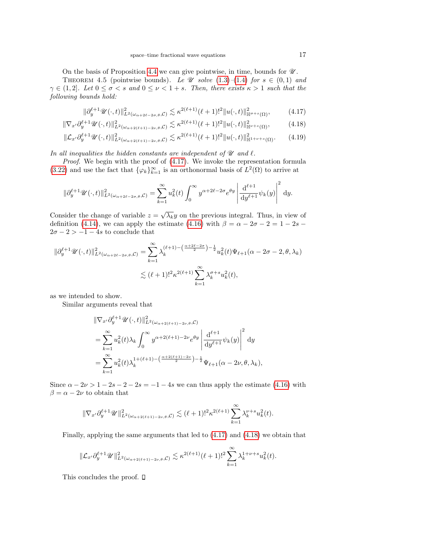On the basis of Proposition [4.4](#page-15-3) we can give pointwise, in time, bounds for  $\mathcal U$ .

<span id="page-16-3"></span>THEOREM 4.5 (pointwise bounds). Le  $\mathscr U$  solve [\(1.3\)](#page-1-0)–[\(1.4\)](#page-1-1) for  $s \in (0,1)$  and  $\gamma \in (1,2]$ . Let  $0 \leq \sigma < s$  and  $0 \leq \nu < 1+s$ . Then, there exists  $\kappa > 1$  such that the following bounds hold:

<span id="page-16-2"></span><span id="page-16-1"></span><span id="page-16-0"></span>
$$
\|\partial_y^{\ell+1}\mathscr{U}(\cdot,t)\|_{L^2(\omega_{\alpha+2\ell-2\sigma,\theta},\mathcal{C})}^2 \lesssim \kappa^{2(\ell+1)}(\ell+1)!^2 \|u(\cdot,t)\|_{\mathbb{H}^{\sigma+s}(\Omega)}^2,\tag{4.17}
$$

$$
\|\nabla_{x'}\partial_y^{\ell+1}\mathscr{U}(\cdot,t)\|_{L^2(\omega_{\alpha+2(\ell+1)-2\nu,\theta},\mathcal{C})}^2 \lesssim \kappa^{2(\ell+1)}(\ell+1)!^2 \|u(\cdot,t)\|_{\mathbb{H}^{\nu+s}(\Omega)}^2,\tag{4.18}
$$

$$
\|\mathcal{L}_{x'}\partial_y^{\ell+1}\mathscr{U}(\cdot,t)\|_{L^2(\omega_{\alpha+2(\ell+1)-2\nu,\theta},\mathcal{C})}^2 \lesssim \kappa^{2(\ell+1)}(\ell+1)!^2 \|u(\cdot,t)\|_{\mathbb{H}^{1+\nu+s}(\Omega)}^2. \tag{4.19}
$$

In all inequalities the hidden constants are independent of  $\mathcal U$  and  $\ell$ .

Proof. We begin with the proof of  $(4.17)$ . We invoke the representation formula [\(3.22\)](#page-10-1) and use the fact that  $\{\varphi_k\}_{k=1}^{\infty}$  is an orthonormal basis of  $L^2(\Omega)$  to arrive at

$$
\|\partial_y^{\ell+1}\mathscr{U}(\cdot,t)\|_{L^2(\omega_{\alpha+2\ell-2\sigma,\theta},\mathcal{C})}^2 = \sum_{k=1}^{\infty} u_k^2(t) \int_0^{\infty} y^{\alpha+2\ell-2\sigma} e^{\theta y} \left| \frac{d^{\ell+1}}{dy^{\ell+1}} \psi_k(y) \right|^2 dy.
$$

Consider the change of variable  $z = \sqrt{\lambda_k}y$  on the previous integral. Thus, in view of definition [\(4.14\)](#page-15-4), we can apply the estimate [\(4.16\)](#page-15-5) with  $\beta = \alpha - 2\sigma - 2 = 1 - 2s$  $2\sigma - 2 > -1 - 4s$  to conclude that

$$
\begin{split} \|\partial_y^{\ell+1}\mathscr{U}(\cdot,t)\|_{L^2(\omega_{\alpha+2\ell-2\sigma,\theta},\mathcal{C})}^2 &= \sum_{k=1}^{\infty} \lambda_k^{(\ell+1)-\left(\frac{\alpha+2\ell-2\sigma}{2}\right)-\frac{1}{2}} u_k^2(t)\Psi_{\ell+1}(\alpha-2\sigma-2,\theta,\lambda_k) \\ &\lesssim (\ell+1)!^2 \kappa^{2(\ell+1)} \sum_{k=1}^{\infty} \lambda_k^{\sigma+s} u_k^2(t), \end{split}
$$

as we intended to show.

Similar arguments reveal that

$$
\begin{split} &\|\nabla_{x'}\partial_{y}^{\ell+1}\mathscr{U}(\cdot,t)\|_{L^{2}(\omega_{\alpha+2(\ell+1)-2\nu,\theta},\mathcal{C})}^{2}\\ &=\sum_{k=1}^{\infty}u_{k}^{2}(t)\lambda_{k}\int_{0}^{\infty}y^{\alpha+2(\ell+1)-2\nu}e^{\theta y}\left|\frac{\mathrm{d}^{\ell+1}}{\mathrm{d}y^{\ell+1}}\psi_{k}(y)\right|^{2}\mathrm{d}y\\ &=\sum_{k=1}^{\infty}u_{k}^{2}(t)\lambda_{k}^{1+(\ell+1)-\left(\frac{\alpha+2(\ell+1)-2\nu}{2}\right)-\frac{1}{2}}\Psi_{\ell+1}(\alpha-2\nu,\theta,\lambda_{k}), \end{split}
$$

Since  $\alpha - 2\nu > 1 - 2s - 2 - 2s = -1 - 4s$  we can thus apply the estimate [\(4.16\)](#page-15-5) with  $\beta=\alpha-2\nu$  to obtain that

$$
\|\nabla_{x'}\partial_y^{\ell+1}\mathscr{U}\|_{L^2(\omega_{\alpha+2(\ell+1)-2\nu,\theta},\mathcal{C})}^2 \lesssim (\ell+1)!^2\kappa^{2(\ell+1)}\sum_{k=1}^\infty \lambda_k^{\nu+s}u_k^2(t).
$$

Finally, applying the same arguments that led to [\(4.17\)](#page-16-0) and [\(4.18\)](#page-16-1) we obtain that

$$
\|\mathcal{L}_{x'}\partial_y^{\ell+1}\mathscr{U}\|_{L^2(\omega_{\alpha+2(\ell+1)-2\nu,\theta},\mathcal{C})}^2 \lesssim \kappa^{2(\ell+1)}(\ell+1)!^2 \sum_{k=1}^\infty \lambda_k^{1+\nu+s}u_k^2(t).
$$

This concludes the proof.  $\square$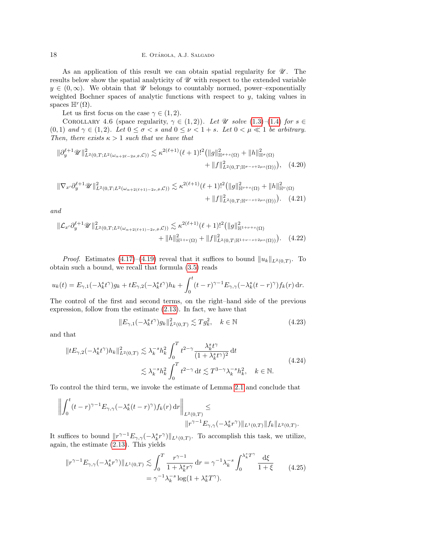As an application of this result we can obtain spatial regularity for  $\mathcal{U}$ . The results below show the spatial analyticity of  $\mathcal U$  with respect to the extended variable  $y \in (0, \infty)$ . We obtain that W belongs to countably normed, power–exponentially weighted Bochner spaces of analytic functions with respect to y, taking values in spaces  $\mathbb{H}^r(\Omega)$ .

Let us first focus on the case  $\gamma \in (1,2)$ .

<span id="page-17-5"></span>COROLLARY 4.6 (space regularity,  $\gamma \in (1,2)$ ). Let U solve  $(1.3)-(1.4)$  $(1.3)-(1.4)$  $(1.3)-(1.4)$  for  $s \in$ (0, 1) and  $\gamma \in (1, 2)$ . Let  $0 \leq \sigma < s$  and  $0 \leq \nu < 1 + s$ . Let  $0 < \mu \ll 1$  be arbitrary. Then, there exists  $\kappa > 1$  such that we have that

<span id="page-17-2"></span>
$$
\|\partial_y^{\ell+1}\mathscr{U}\|_{L^2(0,T;L^2(\omega_{\alpha+2\ell-2\sigma,\theta},\mathcal{C}))}^2 \lesssim \kappa^{2(\ell+1)}(\ell+1)!^2 \big( \|g\|_{\mathbb{H}^{\sigma+s}(\Omega)}^2 + \|h\|_{\mathbb{H}^{\sigma}(\Omega)}^2 + \|h\|_{\mathbb{H}^{\sigma}(\Omega)}^2 \big) + \|f\|_{L^2(0,T;\mathbb{H}^{\sigma-s+2\mu s}(\Omega))}^2 \big), \quad (4.20)
$$

$$
\|\nabla_{x'}\partial_y^{\ell+1}\mathscr{U}\|_{L^2(0,T;L^2(\omega_{\alpha+2(\ell+1)-2\nu,\theta},\mathcal{C}))}^2 \lesssim \kappa^{2(\ell+1)}(\ell+1)!^2 \big(\|g\|_{\mathbb{H}^{\nu+s}(\Omega)}^2 + \|h\|_{\mathbb{H}^{\nu}(\Omega)}^2 + \|h\|_{\mathbb{H}^{\nu}(\Omega)}^2 + \|f\|_{L^2(0,T;\mathbb{H}^{\nu-s+2\mu s}(\Omega))}^2\big).
$$
 (4.21)

and

$$
\|\mathcal{L}_{x'}\partial_y^{\ell+1}\mathscr{U}\|_{L^2(0,T;L^2(\omega_{\alpha+2(\ell+1)-2\nu,\theta},\mathcal{C}))}^2 \lesssim \kappa^{2(\ell+1)}(\ell+1)!^2 \big(\|g\|_{\mathbb{H}^{1+\nu+s}(\Omega)}^2 + \|\hbar\|_{\mathbb{H}^{1+\nu}(\Omega)}^2 + \|f\|_{L^2(0,T;\mathbb{H}^{1+\nu-s+2\mu s}(\Omega))}^2\big).
$$
 (4.22)

*Proof.* Estimates [\(4.17\)](#page-16-0)–[\(4.19\)](#page-16-2) reveal that it suffices to bound  $||u_k||_{L^2(0,T)}$ . To obtain such a bound, we recall that formula [\(3.5\)](#page-6-2) reads

$$
u_k(t) = E_{\gamma,1}(-\lambda_k^s t^\gamma)g_k + tE_{\gamma,2}(-\lambda_k^s t^\gamma)h_k + \int_0^t (t-r)^{\gamma-1}E_{\gamma,\gamma}(-\lambda_k^s (t-r)^\gamma)f_k(r)\,\mathrm{d}r.
$$

The control of the first and second terms, on the right–hand side of the previous expression, follow from the estimate [\(2.13\)](#page-4-2). In fact, we have that

<span id="page-17-4"></span><span id="page-17-3"></span><span id="page-17-0"></span>
$$
||E_{\gamma,1}(-\lambda_k^s t^{\gamma})g_k||_{L^2(0,T)}^2 \lesssim Tg_k^2, \quad k \in \mathbb{N}
$$
 (4.23)

and that

$$
||tE_{\gamma,2}(-\lambda_k^s t^\gamma)h_k||_{L^2(0,T)}^2 \lesssim \lambda_k^{-s} h_k^2 \int_0^T t^{2-\gamma} \frac{\lambda_k^s t^\gamma}{(1+\lambda_k^s t^\gamma)^2} dt
$$
  

$$
\lesssim \lambda_k^{-s} h_k^2 \int_0^T t^{2-\gamma} dt \lesssim T^{3-\gamma} \lambda_k^{-s} h_k^2, \quad k \in \mathbb{N}.
$$
 (4.24)

To control the third term, we invoke the estimate of Lemma [2.1](#page-4-4) and conclude that

$$
\left\| \int_0^t (t-r)^{\gamma-1} E_{\gamma,\gamma}(-\lambda_k^s(t-r)^\gamma) f_k(r) \, dr \right\|_{L^2(0,T)} \le
$$
  

$$
\|r^{\gamma-1} E_{\gamma,\gamma}(-\lambda_k^s r^\gamma) \|_{L^1(0,T)} \|f_k\|_{L^2(0,T)}.
$$

It suffices to bound  $||r^{\gamma-1}E_{\gamma,\gamma}(-\lambda_k^s r^{\gamma})||_{L^1(0,T)}$ . To accomplish this task, we utilize, again, the estimate [\(2.13\)](#page-4-2). This yields

<span id="page-17-1"></span>
$$
||r^{\gamma - 1}E_{\gamma, \gamma}(-\lambda_k^s r^{\gamma})||_{L^1(0,T)} \lesssim \int_0^T \frac{r^{\gamma - 1}}{1 + \lambda_k^s r^{\gamma}} dr = \gamma^{-1} \lambda_k^{-s} \int_0^{\lambda_k^s T^{\gamma}} \frac{d\xi}{1 + \xi}
$$
\n
$$
= \gamma^{-1} \lambda_k^{-s} \log(1 + \lambda_k^s T^{\gamma}).
$$
\n(4.25)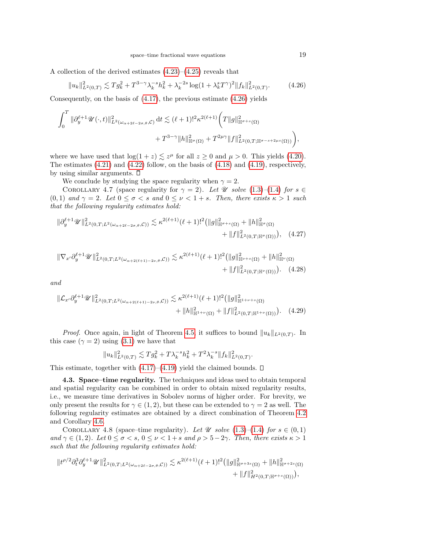A collection of the derived estimates [\(4.23\)](#page-17-0)–[\(4.25\)](#page-17-1) reveals that

<span id="page-18-1"></span>
$$
||u_k||_{L^2(0,T)}^2 \lesssim T g_k^2 + T^{3-\gamma} \lambda_k^{-s} h_k^2 + \lambda_k^{-2s} \log(1 + \lambda_k^s T^\gamma)^2 ||f_k||_{L^2(0,T)}^2.
$$
 (4.26)

Consequently, on the basis of  $(4.17)$ , the previous estimate  $(4.26)$  yields

$$
\int_0^T \|\partial_y^{\ell+1} \mathscr{U}(\cdot,t)\|_{L^2(\omega_{\alpha+2\ell-2\sigma,\theta},\mathcal{C})}^2 dt \lesssim (\ell+1)!^2 \kappa^{2(\ell+1)} \bigg( T \|g\|_{\mathbb{H}^{\sigma+s}(\Omega)}^2 + T^{3-\gamma} \|h\|_{\mathbb{H}^{\sigma}(\Omega)}^2 + T^{2\mu\gamma} \|f\|_{L^2(0,T;\mathbb{H}^{\sigma-s+2\mu s}(\Omega))}^2 \bigg),
$$

where we have used that  $\log(1+z) \lesssim z^{\mu}$  for all  $z \geq 0$  and  $\mu > 0$ . This yields [\(4.20\)](#page-17-2). The estimates  $(4.21)$  and  $(4.22)$  follow, on the basis of  $(4.18)$  and  $(4.19)$ , respectively, by using similar arguments.  $\square$ 

We conclude by studying the space regularity when  $\gamma = 2$ .

COROLLARY 4.7 (space regularity for  $\gamma = 2$ ). Let U solve [\(1.3\)](#page-1-0)–[\(1.4\)](#page-1-1) for  $s \in \mathbb{Z}$ (0, 1) and  $\gamma = 2$ . Let  $0 \le \sigma < s$  and  $0 \le \nu < 1 + s$ . Then, there exists  $\kappa > 1$  such that the following regularity estimates hold:

$$
\|\partial_y^{\ell+1}\mathscr{U}\|_{L^2(0,T;L^2(\omega_{\alpha+2\ell-2\sigma,\theta},\mathcal{C}))}^2 \lesssim \kappa^{2(\ell+1)}(\ell+1)!^2 \big(\|g\|_{\mathbb{H}^{\sigma+s}(\Omega)}^2 + \|h\|_{\mathbb{H}^{\sigma}(\Omega)}^2 + \|f\|_{L^2(0,T;\mathbb{H}^{\sigma}(\Omega))}^2\big), \quad (4.27)
$$

$$
\|\nabla_{x'}\partial_y^{\ell+1}\mathscr{U}\|_{L^2(0,T;L^2(\omega_{\alpha+2(\ell+1)-2\nu,\theta},\mathcal{C}))}^2 \lesssim \kappa^{2(\ell+1)}(\ell+1)!^2 \Big(\|g\|_{\mathbb{H}^{\nu+s}(\Omega)}^2 + \|h\|_{\mathbb{H}^{\nu}(\Omega)}^2 + \|h\|_{\mathbb{H}^{\nu}(\Omega)}^2\Big) + \|f\|_{L^2(0,T;\mathbb{H}^{\nu}(\Omega))}^2\Big). \tag{4.28}
$$

and

$$
\|\mathcal{L}_{x'}\partial_y^{\ell+1}\mathscr{U}\|_{L^2(0,T;L^2(\omega_{\alpha+2(\ell+1)-2\nu,\theta},\mathcal{C}))}^2 \lesssim \kappa^{2(\ell+1)}(\ell+1)!^2 \big(\|g\|_{\mathbb{H}^{1+\nu+s}(\Omega)}^2 + \|h\|_{\mathbb{H}^{1+\nu}(\Omega)}^2 + \|f\|_{L^2(0,T;\mathbb{H}^{1+\nu}(\Omega))}^2\big). \tag{4.29}
$$

*Proof.* Once again, in light of Theorem [4.5,](#page-16-3) it suffices to bound  $||u_k||_{L^2(0,T)}$ . In this case  $(\gamma = 2)$  using  $(3.1)$  we have that

$$
||u_k||^2_{L^2(0,T)} \lesssim Tg_k^2 + T\lambda_k^{-s}h_k^2 + T^2\lambda_k^{-s}||f_k||^2_{L^2(0,T)}
$$

.

This estimate, together with  $(4.17)$ – $(4.19)$  yield the claimed bounds.  $\square$ 

<span id="page-18-0"></span>4.3. Space–time regularity. The techniques and ideas used to obtain temporal and spatial regularity can be combined in order to obtain mixed regularity results, i.e., we measure time derivatives in Sobolev norms of higher order. For brevity, we only present the results for  $\gamma \in (1, 2)$ , but these can be extended to  $\gamma = 2$  as well. The following regularity estimates are obtained by a direct combination of Theorem [4.2](#page-14-0) and Corollary [4.6.](#page-17-5)

<span id="page-18-2"></span>COROLLARY 4.8 (space–time regularity). Let  $\mathscr U$  solve [\(1.3\)](#page-1-0)–[\(1.4\)](#page-1-1) for  $s \in (0,1)$ and  $\gamma \in (1,2)$ . Let  $0 \leq \sigma < s$ ,  $0 \leq \nu < 1 + s$  and  $\rho > 5 - 2\gamma$ . Then, there exists  $\kappa > 1$ such that the following regularity estimates hold:

$$
||t^{\rho/2}\partial_t^3 \partial_y^{\ell+1} \mathscr{U}||_{L^2(0,T;L^2(\omega_{\alpha+2\ell-2\sigma,\theta},\mathcal{C}))}^2 \lesssim \kappa^{2(\ell+1)}(\ell+1)!^2 (||g||^2_{\mathbb{H}^{\sigma+3s}(\Omega)} + ||h||^2_{\mathbb{H}^{\sigma+2s}(\Omega)} + ||f||^2_{H^2(0,T;\mathbb{H}^{\sigma+s}(\Omega))}),
$$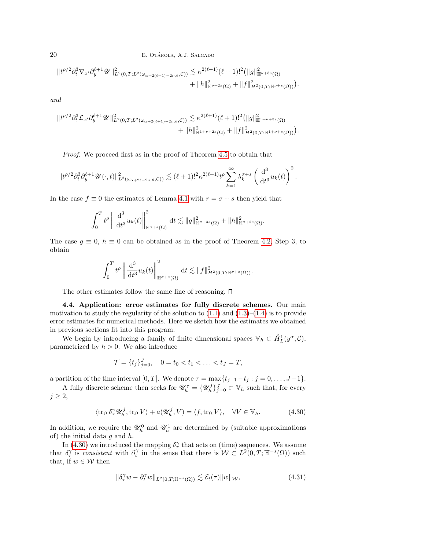20 E. OTÁROLA, A.J. SALGADO

$$
||t^{\rho/2}\partial_t^3 \nabla_{x'}\partial_y^{\ell+1}\mathscr{U}||_{L^2(0,T;L^2(\omega_{\alpha+2(\ell+1)-2\nu,\theta},\mathcal{C}))}^2 \lesssim \kappa^{2(\ell+1)}(\ell+1)!^2 (||g||^2_{\mathbb{H}^{\nu+3s}(\Omega)}+\|h\|^2_{\mathbb{H}^{\nu+2s}(\Omega)}+||f||^2_{H^2(0,T;\mathbb{H}^{\nu+s}(\Omega))}).
$$

and

$$
||t^{\rho/2}\partial_t^3 \mathcal{L}_{x'}\partial_y^{\ell+1}\mathscr{U}||_{L^2(0,T;L^2(\omega_{\alpha+2(\ell+1)-2\nu,\theta},\mathcal{C}))}^2 \lesssim \kappa^{2(\ell+1)}(\ell+1)!^2 (||g||^2_{\mathbb{H}^{1+\nu+3s}(\Omega)}+\|h\|^2_{\mathbb{H}^{1+\nu+2s}(\Omega)}+||f||^2_{H^2(0,T;\mathbb{H}^{1+\nu+s}(\Omega))}).
$$

Proof. We proceed first as in the proof of Theorem [4.5](#page-16-3) to obtain that

$$
\|t^{\rho/2}\partial_t^3 \partial_y^{\ell+1} \mathscr{U}(\cdot,t)\|_{L^2(\omega_{\alpha+2\ell-2\sigma,\theta},\mathcal{C}))}^2 \lesssim (\ell+1)!^2\kappa^{2(\ell+1)}t^\rho\sum_{k=1}^\infty \lambda_k^{\sigma+s}\left(\frac{\mathrm{d}^3}{\mathrm{d}t^3}u_k(t)\right)^2.
$$

In the case  $f \equiv 0$  the estimates of Lemma [4.1](#page-13-2) with  $r = \sigma + s$  then yield that

$$
\int_0^T t^{\rho} \left\| \frac{\mathrm{d}^3}{\mathrm{d}t^3} u_k(t) \right\|_{\mathbb{H}^{\sigma+s}(\Omega)}^2 \mathrm{d}t \lesssim \|g\|_{\mathbb{H}^{\sigma+3s}(\Omega)}^2 + \|h\|_{\mathbb{H}^{\sigma+2s}(\Omega)}^2.
$$

The case  $g \equiv 0$ ,  $h \equiv 0$  can be obtained as in the proof of Theorem [4.2,](#page-14-0) Step 3, to obtain

$$
\int_0^T t^{\rho} \left\| \frac{\mathrm{d}^3}{\mathrm{d}t^3} u_k(t) \right\|_{\mathbb{H}^{\sigma+s}(\Omega)}^2 \mathrm{d}t \lesssim \|f\|_{H^2(0,T;\mathbb{H}^{\sigma+s}(\Omega))}^2.
$$

The other estimates follow the same line of reasoning.  $\square$ 

<span id="page-19-0"></span>4.4. Application: error estimates for fully discrete schemes. Our main motivation to study the regularity of the solution to  $(1.1)$  and  $(1.3)$ – $(1.4)$  is to provide error estimates for numerical methods. Here we sketch how the estimates we obtained in previous sections fit into this program.

We begin by introducing a family of finite dimensional spaces  $\mathbb{V}_h \subset \mathring{H}_L^1(y^\alpha, \mathcal{C}),$ parametrized by  $h > 0$ . We also introduce

$$
\mathcal{T} = \{t_j\}_{j=0}^J, \quad 0 = t_0 < t_1 < \ldots < t_J = T,
$$

a partition of the time interval [0, T]. We denote  $\tau = \max\{t_{j+1}-t_j : j = 0, \ldots, J-1\}.$ 

A fully discrete scheme then seeks for  $\mathscr{U}_h^{\tau} = \{\mathscr{U}_h^j\}_{j=0}^J \subset \mathbb{V}_h$  such that, for every  $j \geq 2$ ,

<span id="page-19-1"></span>
$$
\langle \operatorname{tr}_{\Omega} \delta_{\tau}^{\gamma} \mathscr{U}_{h}^{j}, \operatorname{tr}_{\Omega} V \rangle + a(\mathscr{U}_{h}^{j}, V) = \langle f, \operatorname{tr}_{\Omega} V \rangle, \quad \forall V \in \mathbb{V}_{h}.
$$
 (4.30)

In addition, we require the  $\mathcal{U}_h^0$  and  $\mathcal{U}_h^1$  are determined by (suitable approximations of) the initial data  $q$  and  $h$ .

In [\(4.30\)](#page-19-1) we introduced the mapping  $\delta_{\tau}^{\gamma}$  that acts on (time) sequences. We assume that  $\delta_{\tau}^{\gamma}$  is consistent with  $\partial_{t}^{\gamma}$  in the sense that there is  $W \subset L^{2}(0,T;\mathbb{H}^{-s}(\Omega))$  such that, if  $w \in \mathcal{W}$  then

<span id="page-19-2"></span>
$$
\|\delta_\tau^\gamma w - \partial_t^\gamma w\|_{L^2(0,T;\mathbb{H}^{-s}(\Omega))} \lesssim \mathcal{E}_t(\tau) \|w\|_{\mathcal{W}},\tag{4.31}
$$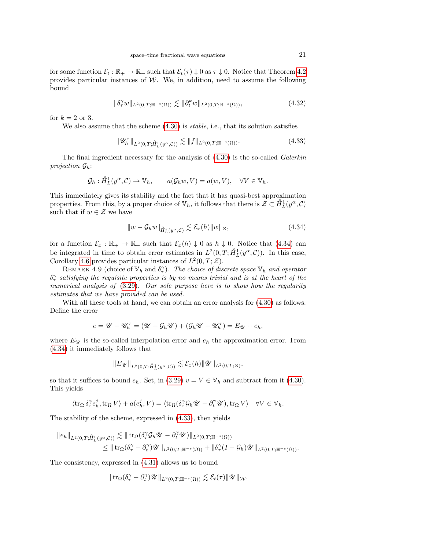for some function  $\mathcal{E}_t : \mathbb{R}_+ \to \mathbb{R}_+$  such that  $\mathcal{E}_t(\tau) \downarrow 0$  as  $\tau \downarrow 0$ . Notice that Theorem [4.2](#page-14-0) provides particular instances of  $W$ . We, in addition, need to assume the following bound

<span id="page-20-2"></span>
$$
\|\delta_\tau^\gamma w\|_{L^2(0,T;\mathbb{H}^{-s}(\Omega))} \lesssim \|\partial_t^k w\|_{L^2(0,T;\mathbb{H}^{-s}(\Omega))},\tag{4.32}
$$

for  $k = 2$  or 3.

We also assume that the scheme  $(4.30)$  is *stable*, i.e., that its solution satisfies

<span id="page-20-1"></span>
$$
\|\mathscr{U}_h^{\tau}\|_{L^2(0,T;\hat{H}_L^1(y^{\alpha},\mathcal{C}))} \lesssim \|f\|_{L^2(0,T;\mathbb{H}^{-s}(\Omega))}.
$$
\n(4.33)

The final ingredient necessary for the analysis of  $(4.30)$  is the so-called *Galerkin* projection  $\mathcal{G}_h$ :

$$
\mathcal{G}_h: \mathring{H}_L^1(y^\alpha, \mathcal{C}) \to \mathbb{V}_h, \qquad a(\mathcal{G}_h w, V) = a(w, V), \quad \forall V \in \mathbb{V}_h.
$$

This immediately gives its stability and the fact that it has quasi-best approximation properties. From this, by a proper choice of  $\mathbb{V}_h$ , it follows that there is  $\mathcal{Z} \subset \mathring{H}_L^1(y^\alpha, \mathcal{C})$ such that if  $w \in \mathcal{Z}$  we have

<span id="page-20-0"></span>
$$
||w - \mathcal{G}_h w||_{\hat{H}_L^1(y^\alpha, \mathcal{C})} \lesssim \mathcal{E}_x(h) ||w||_{\mathcal{Z}},
$$
\n(4.34)

for a function  $\mathcal{E}_x : \mathbb{R}_+ \to \mathbb{R}_+$  such that  $\mathcal{E}_x(h) \downarrow 0$  as  $h \downarrow 0$ . Notice that [\(4.34\)](#page-20-0) can be integrated in time to obtain error estimates in  $L^2(0,T;\hat{H}_L^1(y^\alpha,\mathcal{C}))$ . In this case, Corollary [4.6](#page-17-5) provides particular instances of  $L^2(0,T;\mathcal{Z})$ .

REMARK 4.9 (choice of  $\mathbb{V}_h$  and  $\delta_{\tau}^{\gamma}$ ). The choice of discrete space  $\mathbb{V}_h$  and operator  $\delta_{\tau}^{\gamma}$  satisfying the requisite properties is by no means trivial and is at the heart of the numerical analysis of  $(3.29)$ . Our sole purpose here is to show how the regularity estimates that we have provided can be used.

With all these tools at hand, we can obtain an error analysis for [\(4.30\)](#page-19-1) as follows. Define the error

$$
e = \mathscr{U} - \mathscr{U}_h^{\tau} = (\mathscr{U} - \mathcal{G}_h \mathscr{U}) + (\mathcal{G}_h \mathscr{U} - \mathscr{U}_h^{\tau}) = E_{\mathscr{U}} + e_h,
$$

where  $E_{\mathcal{U}}$  is the so-called interpolation error and  $e_h$  the approximation error. From [\(4.34\)](#page-20-0) it immediately follows that

$$
\|E_{\mathscr{U}}\|_{L^2(0,T;\mathring{H}^1_L(y^\alpha,\mathcal{C}))} \lesssim \mathcal{E}_x(h) \|\mathscr{U}\|_{L^2(0,T;\mathcal{Z})},
$$

so that it suffices to bound  $e_h$ . Set, in [\(3.29\)](#page-11-2)  $v = V \in V_h$  and subtract from it [\(4.30\)](#page-19-1). This yields

$$
\langle \operatorname{tr}_\Omega \delta_\tau^\gamma e_h^j, \operatorname{tr}_\Omega V \rangle + a(e_h^j,V) = \langle \operatorname{tr}_\Omega (\delta_\tau^\gamma \mathcal{G}_h \mathscr{U} - \partial_t^\gamma \mathscr{U}), \operatorname{tr}_\Omega V \rangle \quad \forall V \in \mathbb{V}_h.
$$

The stability of the scheme, expressed in [\(4.33\)](#page-20-1), then yields

$$
\|e_h\|_{L^2(0,T;\hat{H}_L^1(y^\alpha,\mathcal{C}))} \lesssim \|\operatorname{tr}_\Omega(\delta_\tau^\gamma \mathcal{G}_h \mathscr{U} - \partial_t^\gamma \mathscr{U})\|_{L^2(0,T;\mathbb{H}^{-s}(\Omega))}
$$
  
\$\leq \|\operatorname{tr}\_\Omega(\delta\_\tau^\gamma - \partial\_t^\gamma)\mathscr{U}\|\_{L^2(0,T;\mathbb{H}^{-s}(\Omega))} + \|\delta\_\tau^\gamma (I - \mathcal{G}\_h)\mathscr{U}\|\_{L^2(0,T;\mathbb{H}^{-s}(\Omega))}.

The consistency, expressed in [\(4.31\)](#page-19-2) allows us to bound

$$
\|\operatorname{tr}_{\Omega}(\delta_\tau^\gamma-\partial_t^\gamma)\mathscr{U}\|_{L^2(0,T;\mathbb{H}^{-s}(\Omega))}\lesssim \mathcal{E}_t(\tau)\|\mathscr{U}\|_{\mathcal{W}}.
$$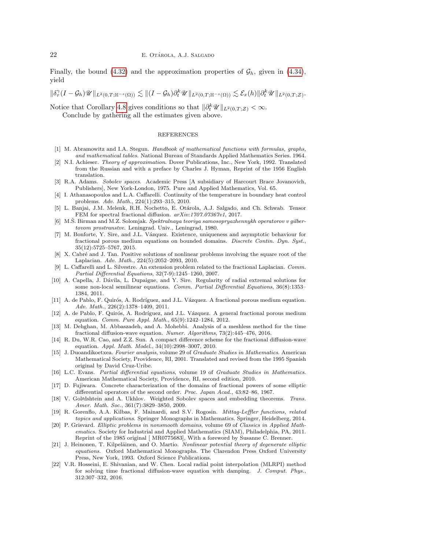Finally, the bound [\(4.32\)](#page-20-2) and the approximation properties of  $\mathcal{G}_h$ , given in [\(4.34\)](#page-20-0), yield

 $\|\delta_\tau^\gamma (I-\mathcal{G}_h) \mathscr{U}\|_{L^2(0,T;\mathbb{H}^{-s}(\Omega))} \lesssim \|(I-\mathcal{G}_h) \partial_t^k \mathscr{U}\|_{L^2(0,T;\mathbb{H}^{-s}(\Omega))} \lesssim \mathcal{E}_x(h) \|\partial_t^k \mathscr{U}\|_{L^2(0,T;\mathcal{Z})}.$ 

Notice that Corollary [4.8](#page-18-2) gives conditions so that  $\|\partial_t^k \mathscr{U}\|_{L^2(0,T;\mathcal{Z})} < \infty$ .

Conclude by gathering all the estimates given above.

## REFERENCES

- <span id="page-21-19"></span>[1] M. Abramowitz and I.A. Stegun. Handbook of mathematical functions with formulas, graphs, and mathematical tables. National Bureau of Standards Applied Mathematics Series. 1964.
- <span id="page-21-6"></span>[2] N.I. Achieser. Theory of approximation. Dover Publications, Inc., New York, 1992. Translated from the Russian and with a preface by Charles J. Hyman, Reprint of the 1956 English translation.
- <span id="page-21-10"></span>[3] R.A. Adams. Sobolev spaces. Academic Press [A subsidiary of Harcourt Brace Jovanovich, Publishers], New York-London, 1975. Pure and Applied Mathematics, Vol. 65.
- <span id="page-21-3"></span>[4] I. Athanasopoulos and L.A. Caffarelli. Continuity of the temperature in boundary heat control problems. Adv. Math., 224(1):293–315, 2010.
- <span id="page-21-7"></span>[5] L. Banjai, J.M. Melenk, R.H. Nochetto, E. Ot´arola, A.J. Salgado, and Ch. Schwab. Tensor FEM for spectral fractional diffusion.  $arXiv:1707.07367v1$ , 2017.
- <span id="page-21-13"></span>[6] M.S. Birman and M.Z. Solomjak. Spektralnaya teoriya samosopryazhennykh operatorov v gilbertovom prostranstve. Leningrad. Univ., Leningrad, 1980.
- <span id="page-21-20"></span>[7] M. Bonforte, Y. Sire, and J.L. Vázquez. Existence, uniqueness and asymptotic behaviour for fractional porous medium equations on bounded domains. Discrete Contin. Dyn. Syst., 35(12):5725–5767, 2015.
- <span id="page-21-1"></span>[8] X. Cabré and J. Tan. Positive solutions of nonlinear problems involving the square root of the Laplacian. Adv. Math., 224(5):2052–2093, 2010.
- <span id="page-21-0"></span>[9] L. Caffarelli and L. Silvestre. An extension problem related to the fractional Laplacian. Comm. Partial Differential Equations, 32(7-9):1245–1260, 2007.
- <span id="page-21-2"></span>[10] A. Capella, J. Dávila, L. Dupaigne, and Y. Sire. Regularity of radial extremal solutions for some non-local semilinear equations. Comm. Partial Differential Equations, 36(8):1353– 1384, 2011.
- <span id="page-21-4"></span>[11] A. de Pablo, F. Quirós, A. Rodríguez, and J.L. Vázquez. A fractional porous medium equation. Adv. Math., 226(2):1378–1409, 2011.
- <span id="page-21-5"></span>[12] A. de Pablo, F. Quirós, A. Rodríguez, and J.L. Vázquez. A general fractional porous medium equation. Comm. Pure Appl. Math., 65(9):1242–1284, 2012.
- <span id="page-21-8"></span>[13] M. Dehghan, M. Abbaszadeh, and A. Mohebbi. Analysis of a meshless method for the time fractional diffusion-wave equation. Numer. Algorithms, 73(2):445–476, 2016.
- <span id="page-21-9"></span>[14] R. Du, W.R. Cao, and Z.Z. Sun. A compact difference scheme for the fractional diffusion-wave equation. Appl. Math. Model., 34(10):2998–3007, 2010.
- <span id="page-21-15"></span>[15] J. Duoandikoetxea. Fourier analysis, volume 29 of Graduate Studies in Mathematics. American Mathematical Society, Providence, RI, 2001. Translated and revised from the 1995 Spanish original by David Cruz-Uribe.
- <span id="page-21-18"></span>[16] L.C. Evans. Partial differential equations, volume 19 of Graduate Studies in Mathematics. American Mathematical Society, Providence, RI, second edition, 2010.
- <span id="page-21-14"></span>[17] D. Fujiwara. Concrete characterization of the domains of fractional powers of some elliptic differential operators of the second order. Proc. Japan Acad., 43:82–86, 1967.
- <span id="page-21-16"></span>[18] V. Gol/dshtein and A. Ukhlov. Weighted Sobolev spaces and embedding theorems. Trans. Amer. Math. Soc., 361(7):3829–3850, 2009.
- <span id="page-21-17"></span>[19] R. Gorenflo, A.A. Kilbas, F. Mainardi, and S.V. Rogosin. Mittag-Leffler functions, related topics and applications. Springer Monographs in Mathematics. Springer, Heidelberg, 2014.
- <span id="page-21-12"></span>[20] P. Grisvard. Elliptic problems in nonsmooth domains, volume 69 of Classics in Applied Mathematics. Society for Industrial and Applied Mathematics (SIAM), Philadelphia, PA, 2011. Reprint of the 1985 original [ MR0775683], With a foreword by Susanne C. Brenner.
- <span id="page-21-11"></span>[21] J. Heinonen, T. Kilpeläinen, and O. Martio. Nonlinear potential theory of degenerate elliptic equations. Oxford Mathematical Monographs. The Clarendon Press Oxford University Press, New York, 1993. Oxford Science Publications.
- <span id="page-21-21"></span>[22] V.R. Hosseini, E. Shivanian, and W. Chen. Local radial point interpolation (MLRPI) method for solving time fractional diffusion-wave equation with damping. J. Comput. Phys., 312:307–332, 2016.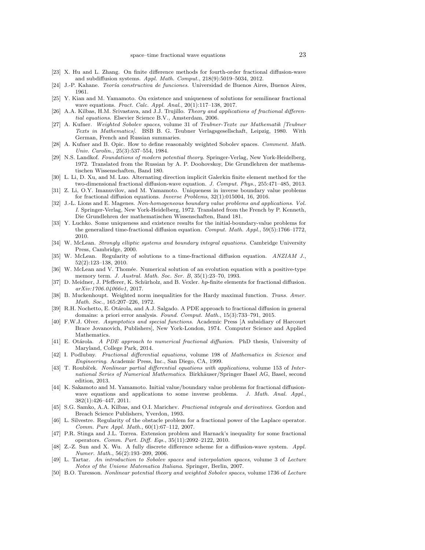- <span id="page-22-8"></span>[23] X. Hu and L. Zhang. On finite difference methods for fourth-order fractional diffusion-wave and subdiffusion systems. Appl. Math. Comput., 218(9):5019–5034, 2012.
- <span id="page-22-5"></span>[24] J.-P. Kahane. Teoría constructiva de funciones. Universidad de Buenos Aires, Buenos Aires, 1961.
- <span id="page-22-19"></span>[25] Y. Kian and M. Yamamoto. On existence and uniqueness of solutions for semilinear fractional wave equations. Fract. Calc. Appl. Anal., 20(1):117–138, 2017.
- <span id="page-22-0"></span>[26] A.A. Kilbas, H.M. Srivastava, and J.J. Trujillo. Theory and applications of fractional differential equations. Elsevier Science B.V., Amsterdam, 2006.
- <span id="page-22-12"></span>[27] A. Kufner. Weighted Sobolev spaces, volume 31 of Teubner-Texte zur Mathematik [Teubner Texts in Mathematics]. BSB B. G. Teubner Verlagsgesellschaft, Leipzig, 1980. With German, French and Russian summaries.
- <span id="page-22-17"></span>[28] A. Kufner and B. Opic. How to define reasonably weighted Sobolev spaces. Comment. Math. Univ. Carolin., 25(3):537–554, 1984.
- <span id="page-22-1"></span>[29] N.S. Landkof. Foundations of modern potential theory. Springer-Verlag, New York-Heidelberg, 1972. Translated from the Russian by A. P. Doohovskoy, Die Grundlehren der mathematischen Wissenschaften, Band 180.
- <span id="page-22-25"></span>[30] L. Li, D. Xu, and M. Luo. Alternating direction implicit Galerkin finite element method for the two-dimensional fractional diffusion-wave equation. J. Comput. Phys., 255:471–485, 2013.
- <span id="page-22-23"></span>[31] Z. Li, O.Y. Imanuvilov, and M. Yamamoto. Uniqueness in inverse boundary value problems for fractional diffusion equations. Inverse Problems, 32(1):015004, 16, 2016.
- <span id="page-22-14"></span>[32] J.-L. Lions and E. Magenes. Non-homogeneous boundary value problems and applications. Vol. I. Springer-Verlag, New York-Heidelberg, 1972. Translated from the French by P. Kenneth, Die Grundlehren der mathematischen Wissenschaften, Band 181.
- <span id="page-22-22"></span>[33] Y. Luchko. Some uniqueness and existence results for the initial-boundary-value problems for the generalized time-fractional diffusion equation. Comput. Math. Appl.,  $59(5)$ :1766–1772, 2010.
- <span id="page-22-15"></span>[34] W. McLean. Strongly elliptic systems and boundary integral equations. Cambridge University Press, Cambridge, 2000.
- <span id="page-22-26"></span>[35] W. McLean. Regularity of solutions to a time-fractional diffusion equation. ANZIAM J., 52(2):123–138, 2010.
- <span id="page-22-27"></span>[36] W. McLean and V. Thomée. Numerical solution of an evolution equation with a positive-type memory term. J. Austral. Math. Soc. Ser. B, 35(1):23–70, 1993.
- <span id="page-22-6"></span>[37] D. Meidner, J. Pfefferer, K. Schürholz, and B. Vexler. hp-finite elements for fractional diffusion. arXiv:1706.04066v1, 2017.
- <span id="page-22-16"></span>[38] B. Muckenhoupt. Weighted norm inequalities for the Hardy maximal function. Trans. Amer. Math. Soc., 165:207–226, 1972.
- <span id="page-22-9"></span>[39] R.H. Nochetto, E. Otárola, and A.J. Salgado. A PDE approach to fractional diffusion in general domains: a priori error analysis. Found. Comput. Math., 15(3):733–791, 2015.
- <span id="page-22-24"></span>[40] F.W.J. Olver. Asymptotics and special functions. Academic Press [A subsidiary of Harcourt Brace Jovanovich, Publishers], New York-London, 1974. Computer Science and Applied Mathematics.
- <span id="page-22-10"></span>[41] E. Otárola. A PDE approach to numerical fractional diffusion. PhD thesis, University of Maryland, College Park, 2014.
- <span id="page-22-18"></span>[42] I. Podlubny. Fractional differential equations, volume 198 of Mathematics in Science and Engineering. Academic Press, Inc., San Diego, CA, 1999.
- <span id="page-22-21"></span>[43] T. Roubíček. Nonlinear partial differential equations with applications, volume 153 of International Series of Numerical Mathematics. Birkhäuser/Springer Basel AG, Basel, second edition, 2013.
- <span id="page-22-20"></span>[44] K. Sakamoto and M. Yamamoto. Initial value/boundary value problems for fractional diffusionwave equations and applications to some inverse problems. J. Math. Anal. Appl., 382(1):426–447, 2011.
- <span id="page-22-2"></span>[45] S.G. Samko, A.A. Kilbas, and O.I. Marichev. *Fractional integrals and derivatives*. Gordon and Breach Science Publishers, Yverdon, 1993.
- <span id="page-22-3"></span>[46] L. Silvestre. Regularity of the obstacle problem for a fractional power of the Laplace operator. Comm. Pure Appl. Math., 60(1):67–112, 2007.
- <span id="page-22-4"></span>[47] P.R. Stinga and J.L. Torrea. Extension problem and Harnack's inequality for some fractional operators. Comm. Part. Diff. Eqs., 35(11):2092–2122, 2010.
- <span id="page-22-7"></span>[48] Z.-Z. Sun and X. Wu. A fully discrete difference scheme for a diffusion-wave system. Appl. Numer. Math., 56(2):193–209, 2006.
- <span id="page-22-11"></span>[49] L. Tartar. An introduction to Sobolev spaces and interpolation spaces, volume 3 of Lecture Notes of the Unione Matematica Italiana. Springer, Berlin, 2007.
- <span id="page-22-13"></span>[50] B.O. Turesson. Nonlinear potential theory and weighted Sobolev spaces, volume 1736 of Lecture